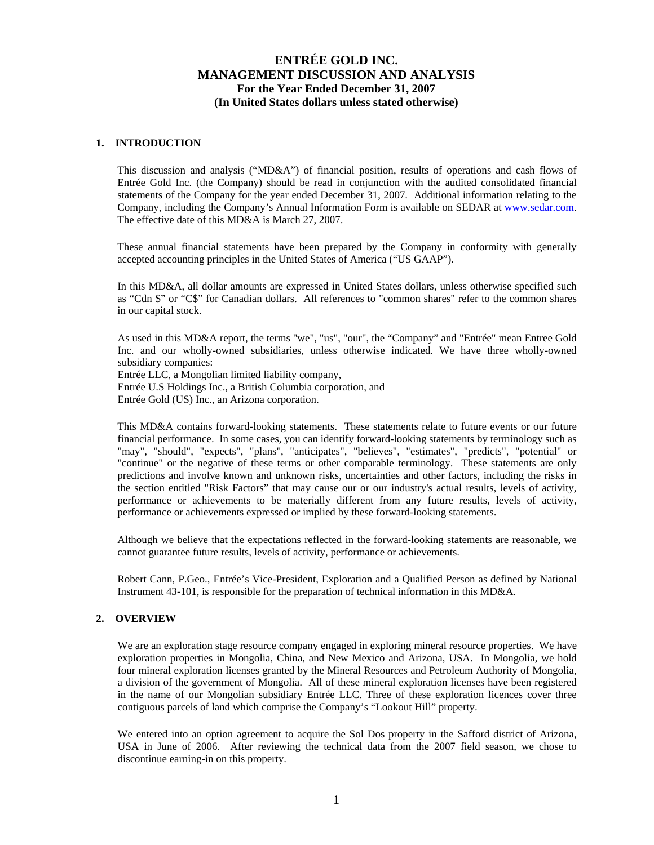## **1. INTRODUCTION**

This discussion and analysis ("MD&A") of financial position, results of operations and cash flows of Entrée Gold Inc. (the Company) should be read in conjunction with the audited consolidated financial statements of the Company for the year ended December 31, 2007. Additional information relating to the Company, including the Company's Annual Information Form is available on SEDAR at [www.sedar.com.](http://www.sedar.com/) The effective date of this MD&A is March 27, 2007.

These annual financial statements have been prepared by the Company in conformity with generally accepted accounting principles in the United States of America ("US GAAP").

In this MD&A, all dollar amounts are expressed in United States dollars, unless otherwise specified such as "Cdn \$" or "C\$" for Canadian dollars. All references to "common shares" refer to the common shares in our capital stock.

As used in this MD&A report, the terms "we", "us", "our", the "Company" and "Entrée" mean Entree Gold Inc. and our wholly-owned subsidiaries, unless otherwise indicated. We have three wholly-owned subsidiary companies:

Entrée LLC, a Mongolian limited liability company, Entrée U.S Holdings Inc., a British Columbia corporation, and Entrée Gold (US) Inc., an Arizona corporation.

This MD&A contains forward-looking statements. These statements relate to future events or our future financial performance. In some cases, you can identify forward-looking statements by terminology such as "may", "should", "expects", "plans", "anticipates", "believes", "estimates", "predicts", "potential" or "continue" or the negative of these terms or other comparable terminology. These statements are only predictions and involve known and unknown risks, uncertainties and other factors, including the risks in the section entitled "Risk Factors" that may cause our or our industry's actual results, levels of activity, performance or achievements to be materially different from any future results, levels of activity, performance or achievements expressed or implied by these forward-looking statements.

Although we believe that the expectations reflected in the forward-looking statements are reasonable, we cannot guarantee future results, levels of activity, performance or achievements.

Robert Cann, P.Geo., Entrée's Vice-President, Exploration and a Qualified Person as defined by National Instrument 43-101, is responsible for the preparation of technical information in this MD&A.

## **2. OVERVIEW**

We are an exploration stage resource company engaged in exploring mineral resource properties. We have exploration properties in Mongolia, China, and New Mexico and Arizona, USA. In Mongolia, we hold four mineral exploration licenses granted by the Mineral Resources and Petroleum Authority of Mongolia, a division of the government of Mongolia. All of these mineral exploration licenses have been registered in the name of our Mongolian subsidiary Entrée LLC. Three of these exploration licences cover three contiguous parcels of land which comprise the Company's "Lookout Hill" property.

We entered into an option agreement to acquire the Sol Dos property in the Safford district of Arizona, USA in June of 2006. After reviewing the technical data from the 2007 field season, we chose to discontinue earning-in on this property.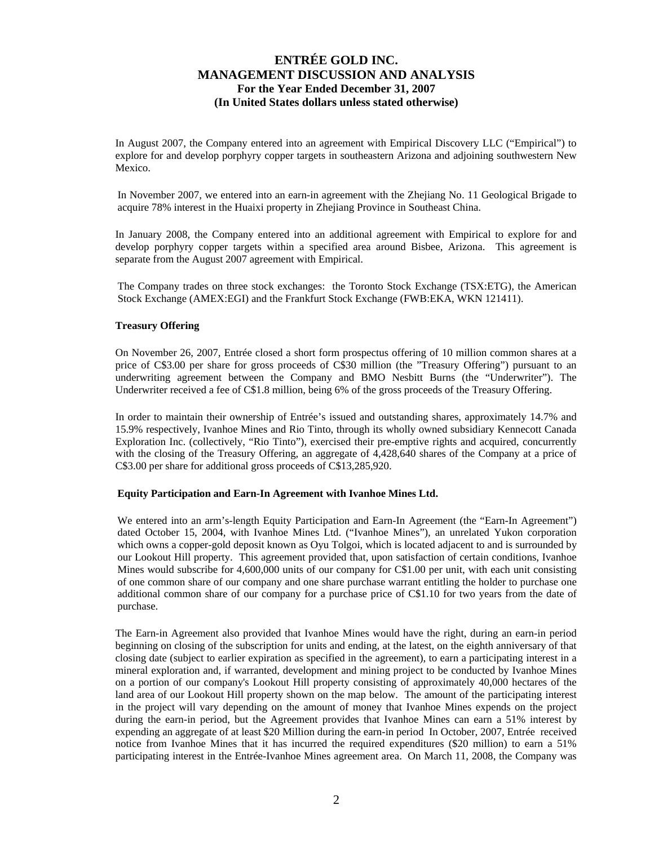In August 2007, the Company entered into an agreement with Empirical Discovery LLC ("Empirical") to explore for and develop porphyry copper targets in southeastern Arizona and adjoining southwestern New Mexico.

In November 2007, we entered into an earn-in agreement with the Zhejiang No. 11 Geological Brigade to acquire 78% interest in the Huaixi property in Zhejiang Province in Southeast China.

In January 2008, the Company entered into an additional agreement with Empirical to explore for and develop porphyry copper targets within a specified area around Bisbee, Arizona. This agreement is separate from the August 2007 agreement with Empirical.

The Company trades on three stock exchanges: the Toronto Stock Exchange (TSX:ETG), the American Stock Exchange (AMEX:EGI) and the Frankfurt Stock Exchange (FWB:EKA, WKN 121411).

## **Treasury Offering**

On November 26, 2007, Entrée closed a short form prospectus offering of 10 million common shares at a price of C\$3.00 per share for gross proceeds of C\$30 million (the "Treasury Offering") pursuant to an underwriting agreement between the Company and BMO Nesbitt Burns (the "Underwriter"). The Underwriter received a fee of C\$1.8 million, being 6% of the gross proceeds of the Treasury Offering.

In order to maintain their ownership of Entrée's issued and outstanding shares, approximately 14.7% and 15.9% respectively, Ivanhoe Mines and Rio Tinto, through its wholly owned subsidiary Kennecott Canada Exploration Inc. (collectively, "Rio Tinto"), exercised their pre-emptive rights and acquired, concurrently with the closing of the Treasury Offering, an aggregate of 4,428,640 shares of the Company at a price of C\$3.00 per share for additional gross proceeds of C\$13,285,920.

## **Equity Participation and Earn-In Agreement with Ivanhoe Mines Ltd.**

We entered into an arm's-length Equity Participation and Earn-In Agreement (the "Earn-In Agreement") dated October 15, 2004, with Ivanhoe Mines Ltd. ("Ivanhoe Mines"), an unrelated Yukon corporation which owns a copper-gold deposit known as Oyu Tolgoi, which is located adjacent to and is surrounded by our Lookout Hill property. This agreement provided that, upon satisfaction of certain conditions, Ivanhoe Mines would subscribe for 4,600,000 units of our company for C\$1.00 per unit, with each unit consisting of one common share of our company and one share purchase warrant entitling the holder to purchase one additional common share of our company for a purchase price of C\$1.10 for two years from the date of purchase.

The Earn-in Agreement also provided that Ivanhoe Mines would have the right, during an earn-in period beginning on closing of the subscription for units and ending, at the latest, on the eighth anniversary of that closing date (subject to earlier expiration as specified in the agreement), to earn a participating interest in a mineral exploration and, if warranted, development and mining project to be conducted by Ivanhoe Mines on a portion of our company's Lookout Hill property consisting of approximately 40,000 hectares of the land area of our Lookout Hill property shown on the map below. The amount of the participating interest in the project will vary depending on the amount of money that Ivanhoe Mines expends on the project during the earn-in period, but the Agreement provides that Ivanhoe Mines can earn a 51% interest by expending an aggregate of at least \$20 Million during the earn-in period In October, 2007, Entrée received notice from Ivanhoe Mines that it has incurred the required expenditures (\$20 million) to earn a 51% participating interest in the Entrée-Ivanhoe Mines agreement area. On March 11, 2008, the Company was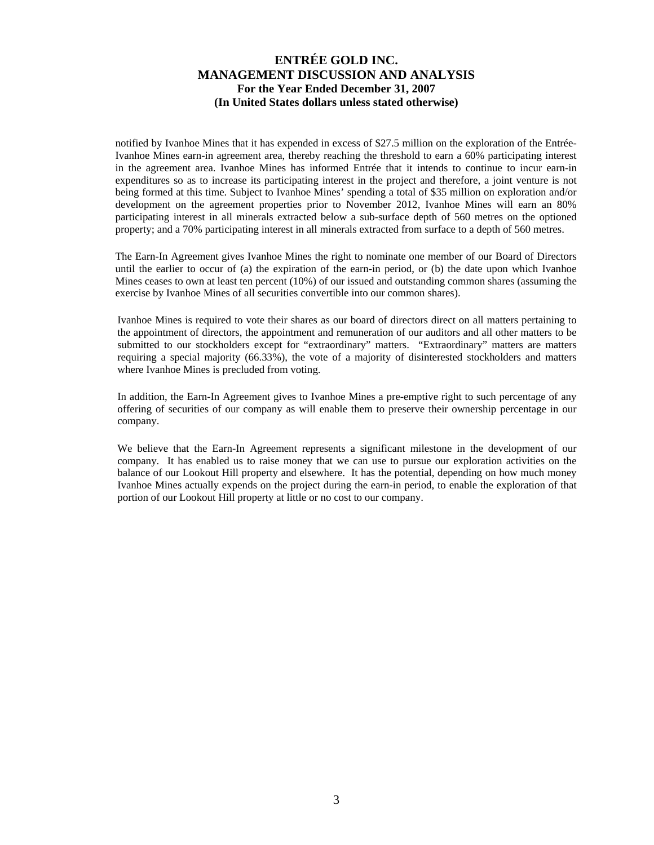notified by Ivanhoe Mines that it has expended in excess of \$27.5 million on the exploration of the Entrée-Ivanhoe Mines earn-in agreement area, thereby reaching the threshold to earn a 60% participating interest in the agreement area. Ivanhoe Mines has informed Entrée that it intends to continue to incur earn-in expenditures so as to increase its participating interest in the project and therefore, a joint venture is not being formed at this time. Subject to Ivanhoe Mines' spending a total of \$35 million on exploration and/or development on the agreement properties prior to November 2012, Ivanhoe Mines will earn an 80% participating interest in all minerals extracted below a sub-surface depth of 560 metres on the optioned property; and a 70% participating interest in all minerals extracted from surface to a depth of 560 metres.

The Earn-In Agreement gives Ivanhoe Mines the right to nominate one member of our Board of Directors until the earlier to occur of (a) the expiration of the earn-in period, or (b) the date upon which Ivanhoe Mines ceases to own at least ten percent (10%) of our issued and outstanding common shares (assuming the exercise by Ivanhoe Mines of all securities convertible into our common shares).

Ivanhoe Mines is required to vote their shares as our board of directors direct on all matters pertaining to the appointment of directors, the appointment and remuneration of our auditors and all other matters to be submitted to our stockholders except for "extraordinary" matters. "Extraordinary" matters are matters requiring a special majority (66.33%), the vote of a majority of disinterested stockholders and matters where Ivanhoe Mines is precluded from voting.

In addition, the Earn-In Agreement gives to Ivanhoe Mines a pre-emptive right to such percentage of any offering of securities of our company as will enable them to preserve their ownership percentage in our company.

We believe that the Earn-In Agreement represents a significant milestone in the development of our company. It has enabled us to raise money that we can use to pursue our exploration activities on the balance of our Lookout Hill property and elsewhere. It has the potential, depending on how much money Ivanhoe Mines actually expends on the project during the earn-in period, to enable the exploration of that portion of our Lookout Hill property at little or no cost to our company.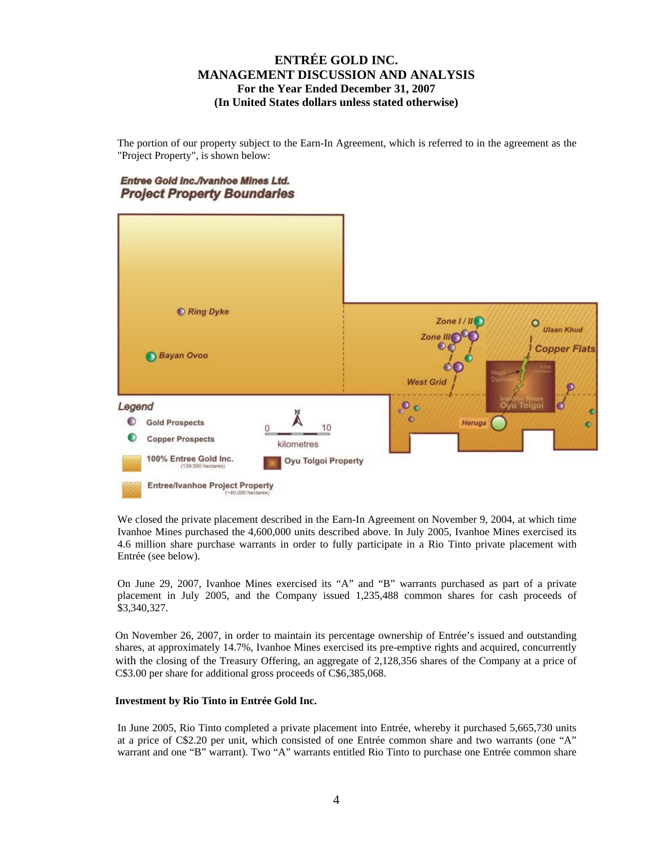The portion of our property subject to the Earn-In Agreement, which is referred to in the agreement as the "Project Property", is shown below:

## Entree Gold Inc./Ivanhoe Mines Ltd. **Project Property Boundaries**



We closed the private placement described in the Earn-In Agreement on November 9, 2004, at which time Ivanhoe Mines purchased the 4,600,000 units described above. In July 2005, Ivanhoe Mines exercised its 4.6 million share purchase warrants in order to fully participate in a Rio Tinto private placement with Entrée (see below).

On June 29, 2007, Ivanhoe Mines exercised its "A" and "B" warrants purchased as part of a private placement in July 2005, and the Company issued 1,235,488 common shares for cash proceeds of \$3,340,327.

On November 26, 2007, in order to maintain its percentage ownership of Entrée's issued and outstanding shares, at approximately 14.7%, Ivanhoe Mines exercised its pre-emptive rights and acquired, concurrently with the closing of the Treasury Offering, an aggregate of 2,128,356 shares of the Company at a price of C\$3.00 per share for additional gross proceeds of C\$6,385,068.

## **Investment by Rio Tinto in Entrée Gold Inc.**

In June 2005, Rio Tinto completed a private placement into Entrée, whereby it purchased 5,665,730 units at a price of C\$2.20 per unit, which consisted of one Entrée common share and two warrants (one "A" warrant and one "B" warrant). Two "A" warrants entitled Rio Tinto to purchase one Entrée common share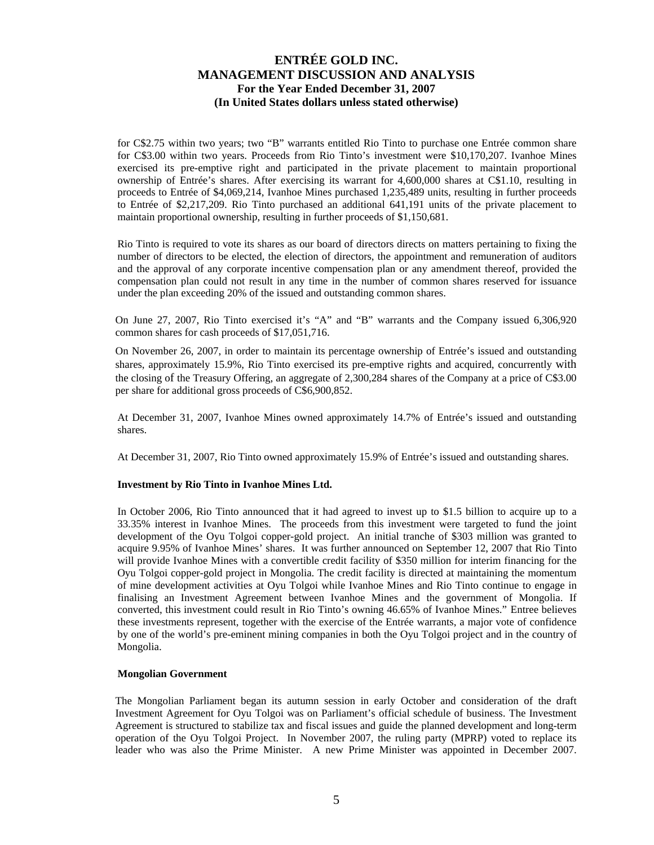for C\$2.75 within two years; two "B" warrants entitled Rio Tinto to purchase one Entrée common share for C\$3.00 within two years. Proceeds from Rio Tinto's investment were \$10,170,207. Ivanhoe Mines exercised its pre-emptive right and participated in the private placement to maintain proportional ownership of Entrée's shares. After exercising its warrant for 4,600,000 shares at C\$1.10, resulting in proceeds to Entrée of \$4,069,214, Ivanhoe Mines purchased 1,235,489 units, resulting in further proceeds to Entrée of \$2,217,209. Rio Tinto purchased an additional 641,191 units of the private placement to maintain proportional ownership, resulting in further proceeds of \$1,150,681.

Rio Tinto is required to vote its shares as our board of directors directs on matters pertaining to fixing the number of directors to be elected, the election of directors, the appointment and remuneration of auditors and the approval of any corporate incentive compensation plan or any amendment thereof, provided the compensation plan could not result in any time in the number of common shares reserved for issuance under the plan exceeding 20% of the issued and outstanding common shares.

On June 27, 2007, Rio Tinto exercised it's "A" and "B" warrants and the Company issued 6,306,920 common shares for cash proceeds of \$17,051,716.

On November 26, 2007, in order to maintain its percentage ownership of Entrée's issued and outstanding shares, approximately 15.9%, Rio Tinto exercised its pre-emptive rights and acquired, concurrently with the closing of the Treasury Offering, an aggregate of 2,300,284 shares of the Company at a price of C\$3.00 per share for additional gross proceeds of C\$6,900,852.

At December 31, 2007, Ivanhoe Mines owned approximately 14.7% of Entrée's issued and outstanding shares.

At December 31, 2007, Rio Tinto owned approximately 15.9% of Entrée's issued and outstanding shares.

### **Investment by Rio Tinto in Ivanhoe Mines Ltd.**

In October 2006, Rio Tinto announced that it had agreed to invest up to \$1.5 billion to acquire up to a 33.35% interest in Ivanhoe Mines. The proceeds from this investment were targeted to fund the joint development of the Oyu Tolgoi copper-gold project. An initial tranche of \$303 million was granted to acquire 9.95% of Ivanhoe Mines' shares. It was further announced on September 12, 2007 that Rio Tinto will provide Ivanhoe Mines with a convertible credit facility of \$350 million for interim financing for the Oyu Tolgoi copper-gold project in Mongolia. The credit facility is directed at maintaining the momentum of mine development activities at Oyu Tolgoi while Ivanhoe Mines and Rio Tinto continue to engage in finalising an Investment Agreement between Ivanhoe Mines and the government of Mongolia. If converted, this investment could result in Rio Tinto's owning 46.65% of Ivanhoe Mines." Entree believes these investments represent, together with the exercise of the Entrée warrants, a major vote of confidence by one of the world's pre-eminent mining companies in both the Oyu Tolgoi project and in the country of Mongolia.

### **Mongolian Government**

The Mongolian Parliament began its autumn session in early October and consideration of the draft Investment Agreement for Oyu Tolgoi was on Parliament's official schedule of business. The Investment Agreement is structured to stabilize tax and fiscal issues and guide the planned development and long-term operation of the Oyu Tolgoi Project. In November 2007, the ruling party (MPRP) voted to replace its leader who was also the Prime Minister. A new Prime Minister was appointed in December 2007.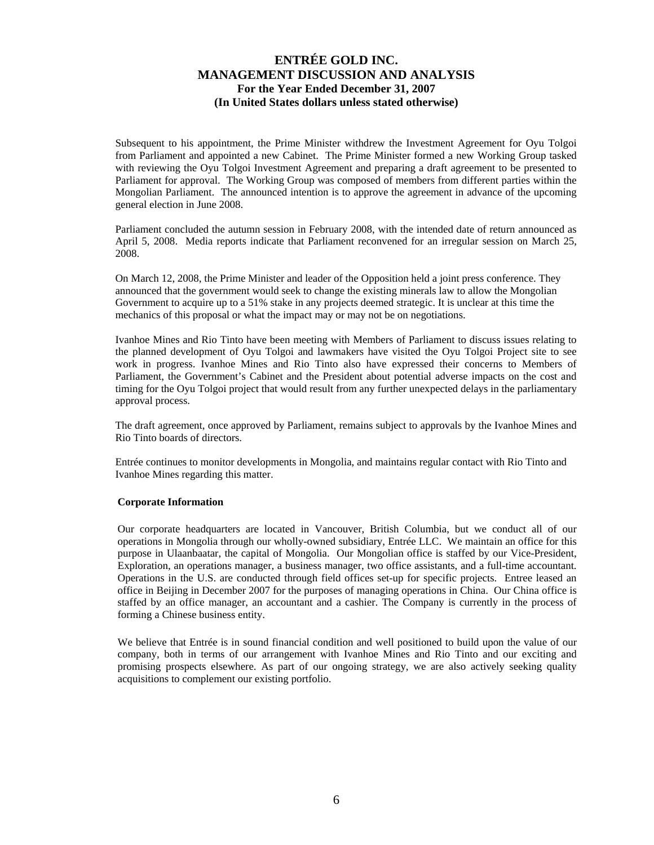Subsequent to his appointment, the Prime Minister withdrew the Investment Agreement for Oyu Tolgoi from Parliament and appointed a new Cabinet. The Prime Minister formed a new Working Group tasked with reviewing the Oyu Tolgoi Investment Agreement and preparing a draft agreement to be presented to Parliament for approval. The Working Group was composed of members from different parties within the Mongolian Parliament. The announced intention is to approve the agreement in advance of the upcoming general election in June 2008.

Parliament concluded the autumn session in February 2008, with the intended date of return announced as April 5, 2008. Media reports indicate that Parliament reconvened for an irregular session on March 25, 2008.

On March 12, 2008, the Prime Minister and leader of the Opposition held a joint press conference. They announced that the government would seek to change the existing minerals law to allow the Mongolian Government to acquire up to a 51% stake in any projects deemed strategic. It is unclear at this time the mechanics of this proposal or what the impact may or may not be on negotiations.

Ivanhoe Mines and Rio Tinto have been meeting with Members of Parliament to discuss issues relating to the planned development of Oyu Tolgoi and lawmakers have visited the Oyu Tolgoi Project site to see work in progress. Ivanhoe Mines and Rio Tinto also have expressed their concerns to Members of Parliament, the Government's Cabinet and the President about potential adverse impacts on the cost and timing for the Oyu Tolgoi project that would result from any further unexpected delays in the parliamentary approval process.

The draft agreement, once approved by Parliament, remains subject to approvals by the Ivanhoe Mines and Rio Tinto boards of directors.

Entrée continues to monitor developments in Mongolia, and maintains regular contact with Rio Tinto and Ivanhoe Mines regarding this matter.

### **Corporate Information**

Our corporate headquarters are located in Vancouver, British Columbia, but we conduct all of our operations in Mongolia through our wholly-owned subsidiary, Entrée LLC. We maintain an office for this purpose in Ulaanbaatar, the capital of Mongolia. Our Mongolian office is staffed by our Vice-President, Exploration, an operations manager, a business manager, two office assistants, and a full-time accountant. Operations in the U.S. are conducted through field offices set-up for specific projects. Entree leased an office in Beijing in December 2007 for the purposes of managing operations in China. Our China office is staffed by an office manager, an accountant and a cashier. The Company is currently in the process of forming a Chinese business entity.

We believe that Entrée is in sound financial condition and well positioned to build upon the value of our company, both in terms of our arrangement with Ivanhoe Mines and Rio Tinto and our exciting and promising prospects elsewhere. As part of our ongoing strategy, we are also actively seeking quality acquisitions to complement our existing portfolio.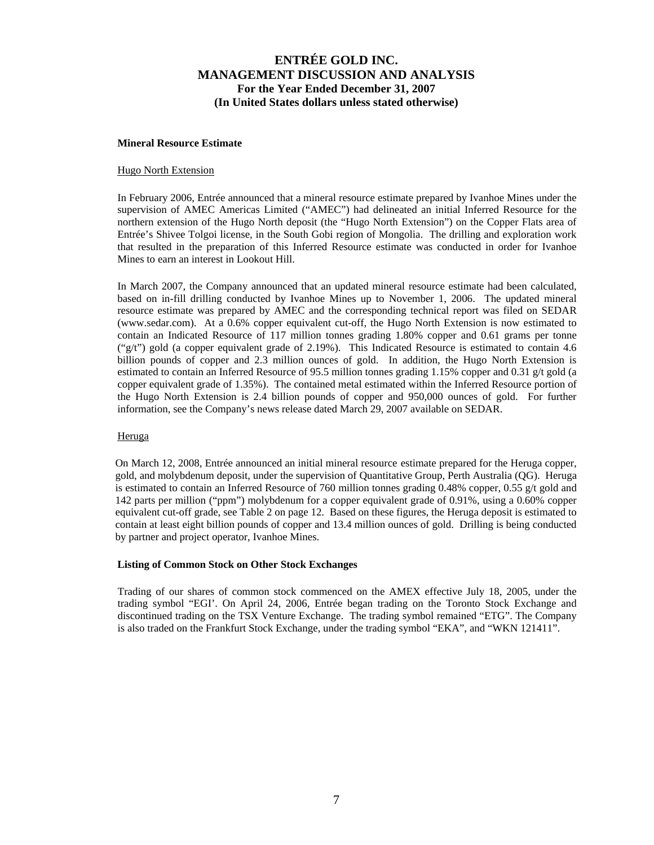#### **Mineral Resource Estimate**

#### Hugo North Extension

In February 2006, Entrée announced that a mineral resource estimate prepared by Ivanhoe Mines under the supervision of AMEC Americas Limited ("AMEC") had delineated an initial Inferred Resource for the northern extension of the Hugo North deposit (the "Hugo North Extension") on the Copper Flats area of Entrée's Shivee Tolgoi license, in the South Gobi region of Mongolia. The drilling and exploration work that resulted in the preparation of this Inferred Resource estimate was conducted in order for Ivanhoe Mines to earn an interest in Lookout Hill.

In March 2007, the Company announced that an updated mineral resource estimate had been calculated, based on in-fill drilling conducted by Ivanhoe Mines up to November 1, 2006. The updated mineral resource estimate was prepared by AMEC and the corresponding technical report was filed on SEDAR [\(www.sedar.com](http://www.sedar.com/)). At a 0.6% copper equivalent cut-off, the Hugo North Extension is now estimated to contain an Indicated Resource of 117 million tonnes grading 1.80% copper and 0.61 grams per tonne ("g/t") gold (a copper equivalent grade of 2.19%). This Indicated Resource is estimated to contain 4.6 billion pounds of copper and 2.3 million ounces of gold. In addition, the Hugo North Extension is estimated to contain an Inferred Resource of 95.5 million tonnes grading 1.15% copper and 0.31 g/t gold (a copper equivalent grade of 1.35%). The contained metal estimated within the Inferred Resource portion of the Hugo North Extension is 2.4 billion pounds of copper and 950,000 ounces of gold. For further information, see the Company's news release dated March 29, 2007 available on SEDAR.

### Heruga

On March 12, 2008, Entrée announced an initial mineral resource estimate prepared for the Heruga copper, gold, and molybdenum deposit, under the supervision of Quantitative Group, Perth Australia (QG). Heruga is estimated to contain an Inferred Resource of 760 million tonnes grading 0.48% copper, 0.55 g/t gold and 142 parts per million ("ppm") molybdenum for a copper equivalent grade of 0.91%, using a 0.60% copper equivalent cut-off grade, see Table 2 on page 12. Based on these figures, the Heruga deposit is estimated to contain at least eight billion pounds of copper and 13.4 million ounces of gold. Drilling is being conducted by partner and project operator, Ivanhoe Mines.

### **Listing of Common Stock on Other Stock Exchanges**

Trading of our shares of common stock commenced on the AMEX effective July 18, 2005, under the trading symbol "EGI'. On April 24, 2006, Entrée began trading on the Toronto Stock Exchange and discontinued trading on the TSX Venture Exchange. The trading symbol remained "ETG". The Company is also traded on the Frankfurt Stock Exchange, under the trading symbol "EKA", and "WKN 121411".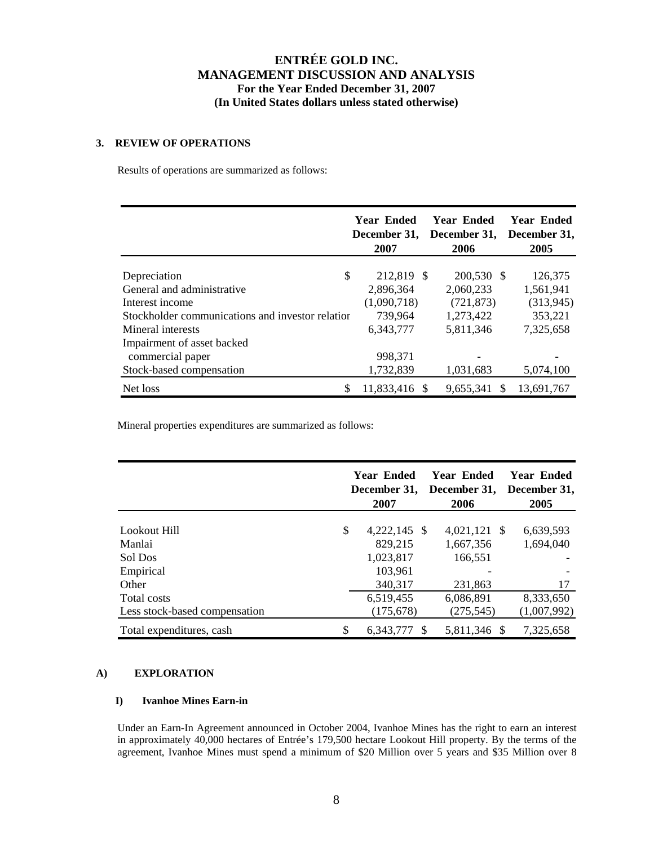## **3. REVIEW OF OPERATIONS**

Results of operations are summarized as follows:

|                                                  | Year Ended<br>December 31,<br>2007 | Year Ended<br>December 31,<br>2006 | <b>Year Ended</b><br>December 31,<br>2005 |
|--------------------------------------------------|------------------------------------|------------------------------------|-------------------------------------------|
|                                                  |                                    |                                    |                                           |
| \$<br>Depreciation                               | 212,819 \$                         | 200,530 \$                         | 126,375                                   |
| General and administrative                       | 2,896,364                          | 2,060,233                          | 1,561,941                                 |
| Interest income                                  | (1,090,718)                        | (721, 873)                         | (313, 945)                                |
| Stockholder communications and investor relation | 739,964                            | 1,273,422                          | 353,221                                   |
| Mineral interests                                | 6,343,777                          | 5,811,346                          | 7,325,658                                 |
| Impairment of asset backed                       |                                    |                                    |                                           |
| commercial paper                                 | 998,371                            |                                    |                                           |
| Stock-based compensation                         | 1,732,839                          | 1,031,683                          | 5,074,100                                 |
| Net loss                                         | 11,833,416 \$                      | 9,655,341<br><b>S</b>              | 13,691,767                                |

Mineral properties expenditures are summarized as follows:

|                               | Year Ended<br>December 31.<br>2007 | Year Ended<br>December 31,<br>2006 | <b>Year Ended</b><br>December 31,<br>2005 |
|-------------------------------|------------------------------------|------------------------------------|-------------------------------------------|
| Lookout Hill                  | \$<br>$4,222,145$ \$               | 4,021,121 \$                       | 6,639,593                                 |
| Manlai                        | 829,215                            | 1,667,356                          | 1,694,040                                 |
| Sol Dos                       | 1,023,817                          | 166,551                            |                                           |
| Empirical                     | 103,961                            |                                    |                                           |
| Other                         | 340,317                            | 231,863                            | 17                                        |
| Total costs                   | 6,519,455                          | 6,086,891                          | 8,333,650                                 |
| Less stock-based compensation | (175, 678)                         | (275, 545)                         | (1,007,992)                               |
| Total expenditures, cash      | 6.343.777 \$                       | 5.811.346 \$                       | 7,325,658                                 |

## **A) EXPLORATION**

## **I) Ivanhoe Mines Earn-in**

Under an Earn-In Agreement announced in October 2004, Ivanhoe Mines has the right to earn an interest in approximately 40,000 hectares of Entrée's 179,500 hectare Lookout Hill property. By the terms of the agreement, Ivanhoe Mines must spend a minimum of \$20 Million over 5 years and \$35 Million over 8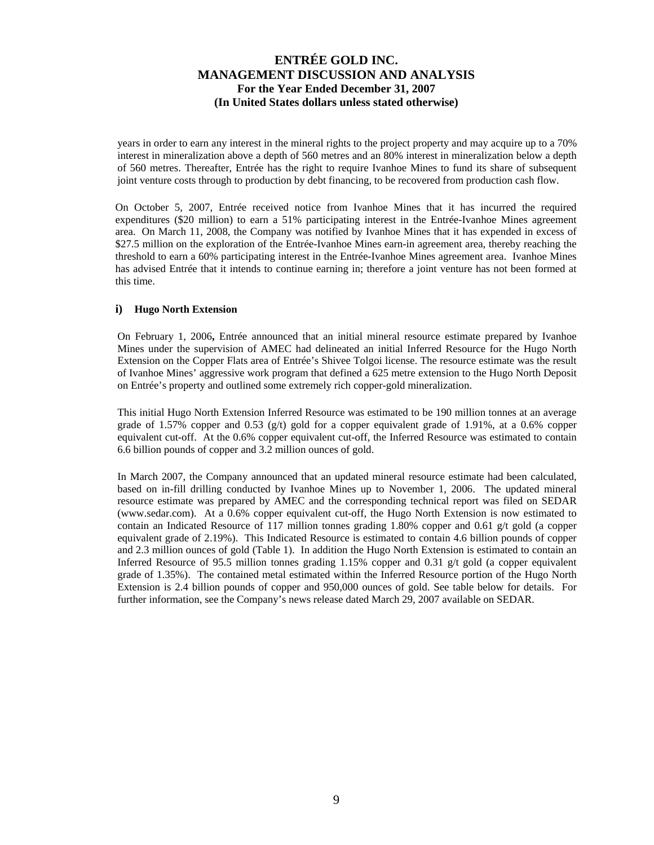years in order to earn any interest in the mineral rights to the project property and may acquire up to a 70% interest in mineralization above a depth of 560 metres and an 80% interest in mineralization below a depth of 560 metres. Thereafter, Entrée has the right to require Ivanhoe Mines to fund its share of subsequent joint venture costs through to production by debt financing, to be recovered from production cash flow.

On October 5, 2007, Entrée received notice from Ivanhoe Mines that it has incurred the required expenditures (\$20 million) to earn a 51% participating interest in the Entrée-Ivanhoe Mines agreement area. On March 11, 2008, the Company was notified by Ivanhoe Mines that it has expended in excess of \$27.5 million on the exploration of the Entrée-Ivanhoe Mines earn-in agreement area, thereby reaching the threshold to earn a 60% participating interest in the Entrée-Ivanhoe Mines agreement area. Ivanhoe Mines has advised Entrée that it intends to continue earning in; therefore a joint venture has not been formed at this time.

## **i) Hugo North Extension**

On February 1, 2006**,** Entrée announced that an initial mineral resource estimate prepared by Ivanhoe Mines under the supervision of AMEC had delineated an initial Inferred Resource for the Hugo North Extension on the Copper Flats area of Entrée's Shivee Tolgoi license. The resource estimate was the result of Ivanhoe Mines' aggressive work program that defined a 625 metre extension to the Hugo North Deposit on Entrée's property and outlined some extremely rich copper-gold mineralization.

This initial Hugo North Extension Inferred Resource was estimated to be 190 million tonnes at an average grade of 1.57% copper and 0.53 (g/t) gold for a copper equivalent grade of 1.91%, at a 0.6% copper equivalent cut-off. At the 0.6% copper equivalent cut-off, the Inferred Resource was estimated to contain 6.6 billion pounds of copper and 3.2 million ounces of gold.

In March 2007, the Company announced that an updated mineral resource estimate had been calculated, based on in-fill drilling conducted by Ivanhoe Mines up to November 1, 2006. The updated mineral resource estimate was prepared by AMEC and the corresponding technical report was filed on SEDAR [\(www.sedar.com](http://www.sedar.com/)). At a 0.6% copper equivalent cut-off, the Hugo North Extension is now estimated to contain an Indicated Resource of 117 million tonnes grading 1.80% copper and 0.61 g/t gold (a copper equivalent grade of 2.19%). This Indicated Resource is estimated to contain 4.6 billion pounds of copper and 2.3 million ounces of gold (Table 1). In addition the Hugo North Extension is estimated to contain an Inferred Resource of 95.5 million tonnes grading 1.15% copper and 0.31 g/t gold (a copper equivalent grade of 1.35%). The contained metal estimated within the Inferred Resource portion of the Hugo North Extension is 2.4 billion pounds of copper and 950,000 ounces of gold. See table below for details. For further information, see the Company's news release dated March 29, 2007 available on SEDAR.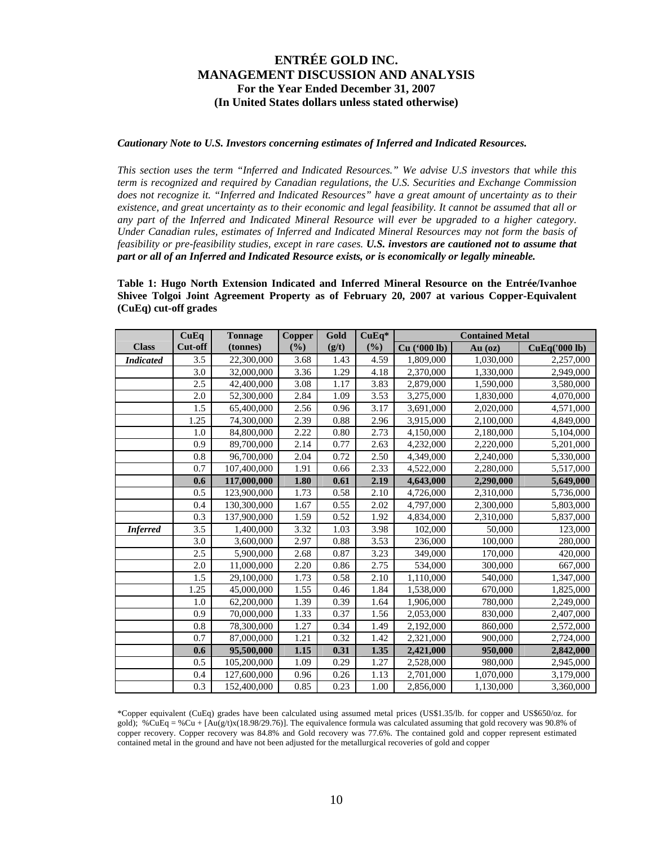### *Cautionary Note to U.S. Investors concerning estimates of Inferred and Indicated Resources.*

*This section uses the term "Inferred and Indicated Resources." We advise U.S investors that while this term is recognized and required by Canadian regulations, the U.S. Securities and Exchange Commission does not recognize it. "Inferred and Indicated Resources" have a great amount of uncertainty as to their existence, and great uncertainty as to their economic and legal feasibility. It cannot be assumed that all or any part of the Inferred and Indicated Mineral Resource will ever be upgraded to a higher category. Under Canadian rules, estimates of Inferred and Indicated Mineral Resources may not form the basis of feasibility or pre-feasibility studies, except in rare cases. U.S. investors are cautioned not to assume that part or all of an Inferred and Indicated Resource exists, or is economically or legally mineable.* 

**Table 1: Hugo North Extension Indicated and Inferred Mineral Resource on the Entrée/Ivanhoe Shivee Tolgoi Joint Agreement Property as of February 20, 2007 at various Copper-Equivalent (CuEq) cut-off grades** 

|                  | CuEq             | <b>Tonnage</b> | <b>Copper</b> | Gold  | $CuEq*$ | <b>Contained Metal</b> |           |               |
|------------------|------------------|----------------|---------------|-------|---------|------------------------|-----------|---------------|
| <b>Class</b>     | Cut-off          | (tonnes)       | (%)           | (g/t) | (%)     | Cu ('000 lb)           | $Au$ (oz) | CuEq('000 lb) |
| <b>Indicated</b> | 3.5              | 22,300,000     | 3.68          | 1.43  | 4.59    | 1,809,000              | 1,030,000 | 2,257,000     |
|                  | 3.0              | 32,000,000     | 3.36          | 1.29  | 4.18    | 2,370,000              | 1,330,000 | 2,949,000     |
|                  | 2.5              | 42,400,000     | 3.08          | 1.17  | 3.83    | 2,879,000              | 1,590,000 | 3,580,000     |
|                  | 2.0              | 52,300,000     | 2.84          | 1.09  | 3.53    | 3,275,000              | 1,830,000 | 4,070,000     |
|                  | 1.5              | 65,400,000     | 2.56          | 0.96  | 3.17    | 3,691,000              | 2,020,000 | 4,571,000     |
|                  | 1.25             | 74,300,000     | 2.39          | 0.88  | 2.96    | 3,915,000              | 2,100,000 | 4,849,000     |
|                  | 1.0              | 84,800,000     | 2.22          | 0.80  | 2.73    | 4,150,000              | 2,180,000 | 5,104,000     |
|                  | 0.9              | 89,700,000     | 2.14          | 0.77  | 2.63    | 4,232,000              | 2,220,000 | 5,201,000     |
|                  | 0.8              | 96,700,000     | 2.04          | 0.72  | 2.50    | 4,349,000              | 2,240,000 | 5,330,000     |
|                  | 0.7              | 107,400,000    | 1.91          | 0.66  | 2.33    | 4,522,000              | 2,280,000 | 5,517,000     |
|                  | 0.6              | 117,000,000    | 1.80          | 0.61  | 2.19    | 4,643,000              | 2,290,000 | 5,649,000     |
|                  | 0.5              | 123,900,000    | 1.73          | 0.58  | 2.10    | 4,726,000              | 2,310,000 | 5,736,000     |
|                  | 0.4              | 130,300,000    | 1.67          | 0.55  | 2.02    | 4,797,000              | 2,300,000 | 5,803,000     |
|                  | 0.3              | 137,900,000    | 1.59          | 0.52  | 1.92    | 4,834,000              | 2,310,000 | 5,837,000     |
| <b>Inferred</b>  | 3.5              | 1,400,000      | 3.32          | 1.03  | 3.98    | 102,000                | 50,000    | 123,000       |
|                  | 3.0              | 3,600,000      | 2.97          | 0.88  | 3.53    | 236,000                | 100,000   | 280,000       |
|                  | 2.5              | 5,900,000      | 2.68          | 0.87  | 3.23    | 349,000                | 170,000   | 420,000       |
|                  | 2.0              | 11,000,000     | 2.20          | 0.86  | 2.75    | 534,000                | 300,000   | 667,000       |
|                  | 1.5              | 29,100,000     | 1.73          | 0.58  | 2.10    | 1,110,000              | 540,000   | 1,347,000     |
|                  | 1.25             | 45,000,000     | 1.55          | 0.46  | 1.84    | 1,538,000              | 670,000   | 1,825,000     |
|                  | 1.0              | 62,200,000     | 1.39          | 0.39  | 1.64    | 1,906,000              | 780,000   | 2,249,000     |
|                  | 0.9              | 70,000,000     | 1.33          | 0.37  | 1.56    | 2,053,000              | 830,000   | 2,407,000     |
|                  | $\overline{0.8}$ | 78,300,000     | 1.27          | 0.34  | 1.49    | 2,192,000              | 860,000   | 2,572,000     |
|                  | 0.7              | 87,000,000     | 1.21          | 0.32  | 1.42    | 2,321,000              | 900,000   | 2,724,000     |
|                  | 0.6              | 95,500,000     | 1.15          | 0.31  | 1.35    | 2,421,000              | 950,000   | 2,842,000     |
|                  | 0.5              | 105,200,000    | 1.09          | 0.29  | 1.27    | 2,528,000              | 980,000   | 2,945,000     |
|                  | 0.4              | 127,600,000    | 0.96          | 0.26  | 1.13    | 2,701,000              | 1,070,000 | 3,179,000     |
|                  | 0.3              | 152,400,000    | 0.85          | 0.23  | 1.00    | 2,856,000              | 1.130.000 | 3,360,000     |

\*Copper equivalent (CuEq) grades have been calculated using assumed metal prices (US\$1.35/lb. for copper and US\$650/oz. for gold); %CuEq = %Cu + [ $Au(g/t)x(18.98/29.76)$ ]. The equivalence formula was calculated assuming that gold recovery was 90.8% of copper recovery. Copper recovery was 84.8% and Gold recovery was 77.6%. The contained gold and copper represent estimated contained metal in the ground and have not been adjusted for the metallurgical recoveries of gold and copper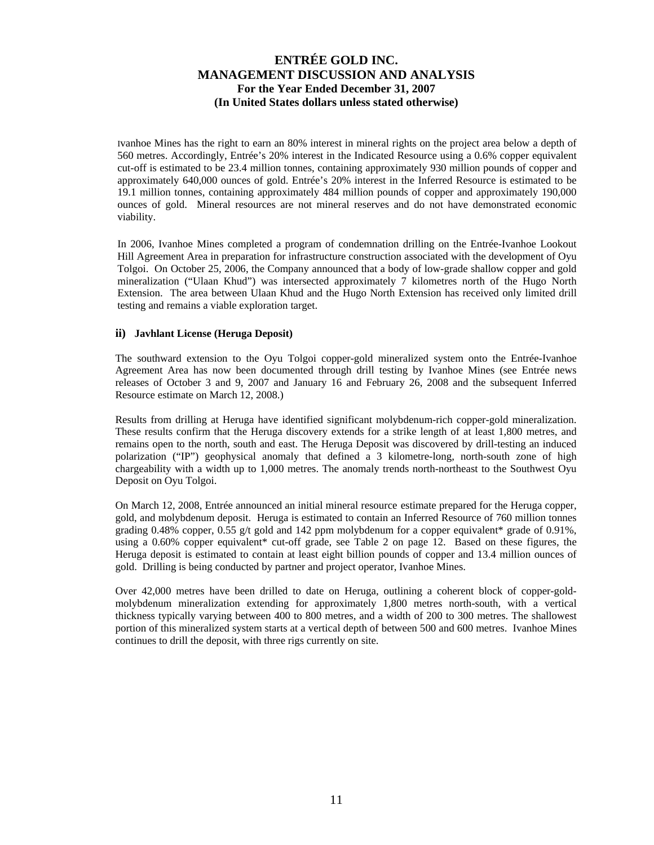Ivanhoe Mines has the right to earn an 80% interest in mineral rights on the project area below a depth of 560 metres. Accordingly, Entrée's 20% interest in the Indicated Resource using a 0.6% copper equivalent cut-off is estimated to be 23.4 million tonnes, containing approximately 930 million pounds of copper and approximately 640,000 ounces of gold. Entrée's 20% interest in the Inferred Resource is estimated to be 19.1 million tonnes, containing approximately 484 million pounds of copper and approximately 190,000 ounces of gold. Mineral resources are not mineral reserves and do not have demonstrated economic viability.

In 2006, Ivanhoe Mines completed a program of condemnation drilling on the Entrée-Ivanhoe Lookout Hill Agreement Area in preparation for infrastructure construction associated with the development of Oyu Tolgoi. On October 25, 2006, the Company announced that a body of low-grade shallow copper and gold mineralization ("Ulaan Khud") was intersected approximately 7 kilometres north of the Hugo North Extension. The area between Ulaan Khud and the Hugo North Extension has received only limited drill testing and remains a viable exploration target.

## **ii) Javhlant License (Heruga Deposit)**

The southward extension to the Oyu Tolgoi copper-gold mineralized system onto the Entrée-Ivanhoe Agreement Area has now been documented through drill testing by Ivanhoe Mines (see Entrée news releases of October 3 and 9, 2007 and January 16 and February 26, 2008 and the subsequent Inferred Resource estimate on March 12, 2008.)

Results from drilling at Heruga have identified significant molybdenum-rich copper-gold mineralization. These results confirm that the Heruga discovery extends for a strike length of at least 1,800 metres, and remains open to the north, south and east. The Heruga Deposit was discovered by drill-testing an induced polarization ("IP") geophysical anomaly that defined a 3 kilometre-long, north-south zone of high chargeability with a width up to 1,000 metres. The anomaly trends north-northeast to the Southwest Oyu Deposit on Oyu Tolgoi.

On March 12, 2008, Entrée announced an initial mineral resource estimate prepared for the Heruga copper, gold, and molybdenum deposit. Heruga is estimated to contain an Inferred Resource of 760 million tonnes grading 0.48% copper, 0.55 g/t gold and 142 ppm molybdenum for a copper equivalent\* grade of 0.91%, using a 0.60% copper equivalent\* cut-off grade, see Table 2 on page 12. Based on these figures, the Heruga deposit is estimated to contain at least eight billion pounds of copper and 13.4 million ounces of gold. Drilling is being conducted by partner and project operator, Ivanhoe Mines.

Over 42,000 metres have been drilled to date on Heruga, outlining a coherent block of copper-goldmolybdenum mineralization extending for approximately 1,800 metres north-south, with a vertical thickness typically varying between 400 to 800 metres, and a width of 200 to 300 metres. The shallowest portion of this mineralized system starts at a vertical depth of between 500 and 600 metres. Ivanhoe Mines continues to drill the deposit, with three rigs currently on site.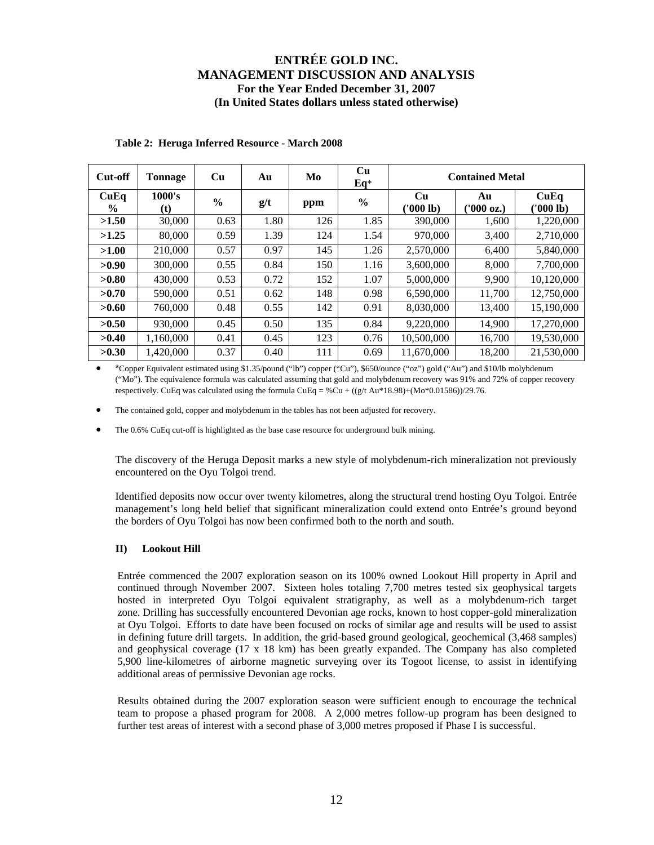| Cut-off               | <b>Tonnage</b> | Cu            | Au   | Mo  | Cu<br>$Eq*$   |                        | <b>Contained Metal</b> |                   |
|-----------------------|----------------|---------------|------|-----|---------------|------------------------|------------------------|-------------------|
| CuEq<br>$\frac{6}{9}$ | 1000's<br>(t)  | $\frac{0}{0}$ | g/t  | ppm | $\frac{0}{0}$ | <b>Cu</b><br>(1000 lb) | Au<br>('000 oz.)       | CuEq<br>(1000 lb) |
| >1.50                 | 30,000         | 0.63          | 1.80 | 126 | 1.85          | 390,000                | 1,600                  | 1,220,000         |
| >1.25                 | 80,000         | 0.59          | 1.39 | 124 | 1.54          | 970,000                | 3,400                  | 2,710,000         |
| >1.00                 | 210,000        | 0.57          | 0.97 | 145 | 1.26          | 2.570,000              | 6,400                  | 5,840,000         |
| >0.90                 | 300,000        | 0.55          | 0.84 | 150 | 1.16          | 3,600,000              | 8,000                  | 7,700,000         |
| >0.80                 | 430,000        | 0.53          | 0.72 | 152 | 1.07          | 5,000,000              | 9.900                  | 10,120,000        |
| >0.70                 | 590,000        | 0.51          | 0.62 | 148 | 0.98          | 6,590,000              | 11,700                 | 12,750,000        |
| >0.60                 | 760,000        | 0.48          | 0.55 | 142 | 0.91          | 8.030.000              | 13.400                 | 15,190,000        |
| >0.50                 | 930,000        | 0.45          | 0.50 | 135 | 0.84          | 9.220.000              | 14.900                 | 17,270,000        |
| >0.40                 | 1.160.000      | 0.41          | 0.45 | 123 | 0.76          | 10,500,000             | 16.700                 | 19,530,000        |
| >0.30                 | 1,420,000      | 0.37          | 0.40 | 111 | 0.69          | 11,670,000             | 18,200                 | 21,530,000        |

## **Table 2: Heruga Inferred Resource - March 2008**

• \*Copper Equivalent estimated using \$1.35/pound ("lb") copper ("Cu"), \$650/ounce ("oz") gold ("Au") and \$10/lb molybdenum ("Mo"). The equivalence formula was calculated assuming that gold and molybdenum recovery was 91% and 72% of copper recovery respectively. CuEq was calculated using the formula CuEq = %Cu +  $((g/t \text{ Au} * 18.98)+(M0*0.01586))/29.76$ .

The contained gold, copper and molybdenum in the tables has not been adjusted for recovery.

The 0.6% CuEq cut-off is highlighted as the base case resource for underground bulk mining.

The discovery of the Heruga Deposit marks a new style of molybdenum-rich mineralization not previously encountered on the Oyu Tolgoi trend.

Identified deposits now occur over twenty kilometres, along the structural trend hosting Oyu Tolgoi. Entrée management's long held belief that significant mineralization could extend onto Entrée's ground beyond the borders of Oyu Tolgoi has now been confirmed both to the north and south.

### **II) Lookout Hill**

Entrée commenced the 2007 exploration season on its 100% owned Lookout Hill property in April and continued through November 2007. Sixteen holes totaling 7,700 metres tested six geophysical targets hosted in interpreted Oyu Tolgoi equivalent stratigraphy, as well as a molybdenum-rich target zone. Drilling has successfully encountered Devonian age rocks, known to host copper-gold mineralization at Oyu Tolgoi. Efforts to date have been focused on rocks of similar age and results will be used to assist in defining future drill targets. In addition, the grid-based ground geological, geochemical (3,468 samples) and geophysical coverage (17 x 18 km) has been greatly expanded. The Company has also completed 5,900 line-kilometres of airborne magnetic surveying over its Togoot license, to assist in identifying additional areas of permissive Devonian age rocks.

Results obtained during the 2007 exploration season were sufficient enough to encourage the technical team to propose a phased program for 2008. A 2,000 metres follow-up program has been designed to further test areas of interest with a second phase of 3,000 metres proposed if Phase I is successful.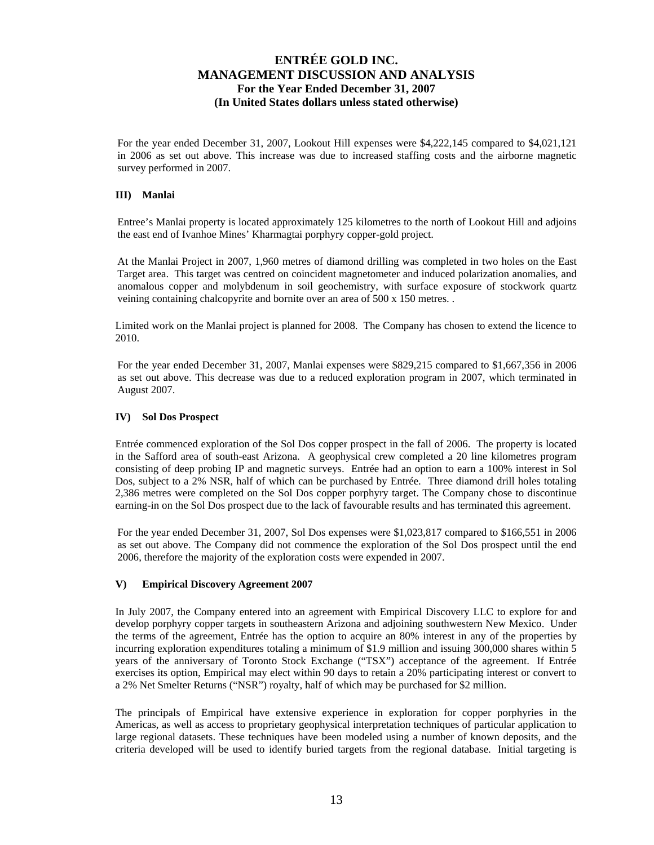For the year ended December 31, 2007, Lookout Hill expenses were \$4,222,145 compared to \$4,021,121 in 2006 as set out above. This increase was due to increased staffing costs and the airborne magnetic survey performed in 2007.

## **III) Manlai**

Entree's Manlai property is located approximately 125 kilometres to the north of Lookout Hill and adjoins the east end of Ivanhoe Mines' Kharmagtai porphyry copper-gold project.

At the Manlai Project in 2007, 1,960 metres of diamond drilling was completed in two holes on the East Target area. This target was centred on coincident magnetometer and induced polarization anomalies, and anomalous copper and molybdenum in soil geochemistry, with surface exposure of stockwork quartz veining containing chalcopyrite and bornite over an area of 500 x 150 metres. .

Limited work on the Manlai project is planned for 2008. The Company has chosen to extend the licence to 2010.

For the year ended December 31, 2007, Manlai expenses were \$829,215 compared to \$1,667,356 in 2006 as set out above. This decrease was due to a reduced exploration program in 2007, which terminated in August 2007.

## **IV) Sol Dos Prospect**

Entrée commenced exploration of the Sol Dos copper prospect in the fall of 2006. The property is located in the Safford area of south-east Arizona. A geophysical crew completed a 20 line kilometres program consisting of deep probing IP and magnetic surveys. Entrée had an option to earn a 100% interest in Sol Dos, subject to a 2% NSR, half of which can be purchased by Entrée. Three diamond drill holes totaling 2,386 metres were completed on the Sol Dos copper porphyry target. The Company chose to discontinue earning-in on the Sol Dos prospect due to the lack of favourable results and has terminated this agreement.

For the year ended December 31, 2007, Sol Dos expenses were \$1,023,817 compared to \$166,551 in 2006 as set out above. The Company did not commence the exploration of the Sol Dos prospect until the end 2006, therefore the majority of the exploration costs were expended in 2007.

### **V) Empirical Discovery Agreement 2007**

In July 2007, the Company entered into an agreement with Empirical Discovery LLC to explore for and develop porphyry copper targets in southeastern Arizona and adjoining southwestern New Mexico. Under the terms of the agreement, Entrée has the option to acquire an 80% interest in any of the properties by incurring exploration expenditures totaling a minimum of \$1.9 million and issuing 300,000 shares within 5 years of the anniversary of Toronto Stock Exchange ("TSX") acceptance of the agreement. If Entrée exercises its option, Empirical may elect within 90 days to retain a 20% participating interest or convert to a 2% Net Smelter Returns ("NSR") royalty, half of which may be purchased for \$2 million.

The principals of Empirical have extensive experience in exploration for copper porphyries in the Americas, as well as access to proprietary geophysical interpretation techniques of particular application to large regional datasets. These techniques have been modeled using a number of known deposits, and the criteria developed will be used to identify buried targets from the regional database. Initial targeting is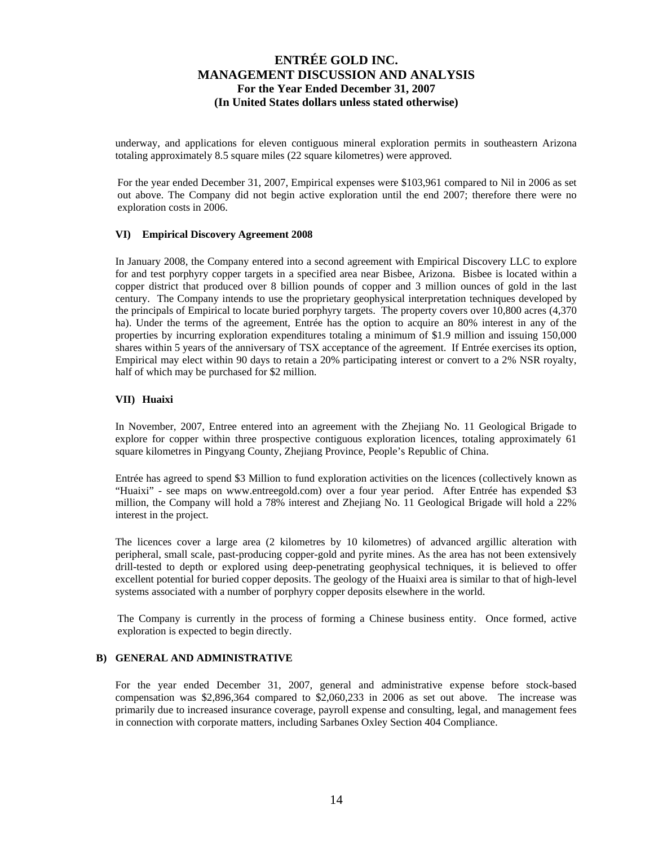underway, and applications for eleven contiguous mineral exploration permits in southeastern Arizona totaling approximately 8.5 square miles (22 square kilometres) were approved.

For the year ended December 31, 2007, Empirical expenses were \$103,961 compared to Nil in 2006 as set out above. The Company did not begin active exploration until the end 2007; therefore there were no exploration costs in 2006.

## **VI) Empirical Discovery Agreement 2008**

In January 2008, the Company entered into a second agreement with Empirical Discovery LLC to explore for and test porphyry copper targets in a specified area near Bisbee, Arizona. Bisbee is located within a copper district that produced over 8 billion pounds of copper and 3 million ounces of gold in the last century. The Company intends to use the proprietary geophysical interpretation techniques developed by the principals of Empirical to locate buried porphyry targets. The property covers over 10,800 acres (4,370 ha). Under the terms of the agreement, Entrée has the option to acquire an 80% interest in any of the properties by incurring exploration expenditures totaling a minimum of \$1.9 million and issuing 150,000 shares within 5 years of the anniversary of TSX acceptance of the agreement. If Entrée exercises its option, Empirical may elect within 90 days to retain a 20% participating interest or convert to a 2% NSR royalty, half of which may be purchased for \$2 million.

### **VII) Huaixi**

In November, 2007, Entree entered into an agreement with the Zhejiang No. 11 Geological Brigade to explore for copper within three prospective contiguous exploration licences, totaling approximately 61 square kilometres in Pingyang County, Zhejiang Province, People's Republic of China.

Entrée has agreed to spend \$3 Million to fund exploration activities on the licences (collectively known as "Huaixi" - see maps on [www.entreegold.com](http://www.entreegold.com/)) over a four year period. After Entrée has expended \$3 million, the Company will hold a 78% interest and Zhejiang No. 11 Geological Brigade will hold a 22% interest in the project.

The licences cover a large area (2 kilometres by 10 kilometres) of advanced argillic alteration with peripheral, small scale, past-producing copper-gold and pyrite mines. As the area has not been extensively drill-tested to depth or explored using deep-penetrating geophysical techniques, it is believed to offer excellent potential for buried copper deposits. The geology of the Huaixi area is similar to that of high-level systems associated with a number of porphyry copper deposits elsewhere in the world.

The Company is currently in the process of forming a Chinese business entity. Once formed, active exploration is expected to begin directly.

## **B) GENERAL AND ADMINISTRATIVE**

For the year ended December 31, 2007, general and administrative expense before stock-based compensation was \$2,896,364 compared to \$2,060,233 in 2006 as set out above. The increase was primarily due to increased insurance coverage, payroll expense and consulting, legal, and management fees in connection with corporate matters, including Sarbanes Oxley Section 404 Compliance.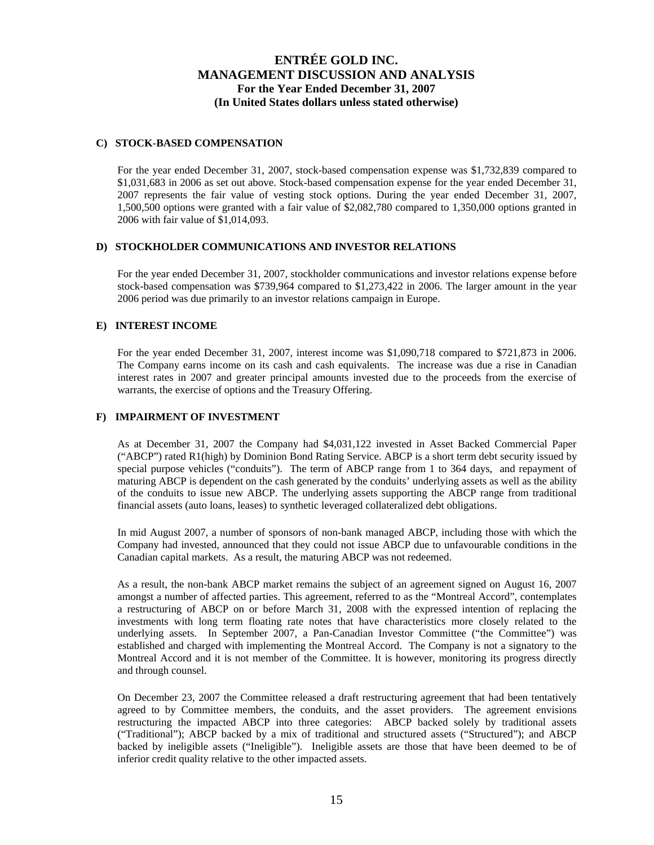### **C) STOCK-BASED COMPENSATION**

For the year ended December 31, 2007, stock-based compensation expense was \$1,732,839 compared to \$1,031,683 in 2006 as set out above. Stock-based compensation expense for the year ended December 31, 2007 represents the fair value of vesting stock options. During the year ended December 31, 2007, 1,500,500 options were granted with a fair value of \$2,082,780 compared to 1,350,000 options granted in 2006 with fair value of \$1,014,093.

## **D) STOCKHOLDER COMMUNICATIONS AND INVESTOR RELATIONS**

For the year ended December 31, 2007, stockholder communications and investor relations expense before stock-based compensation was \$739,964 compared to \$1,273,422 in 2006. The larger amount in the year 2006 period was due primarily to an investor relations campaign in Europe.

## **E) INTEREST INCOME**

For the year ended December 31, 2007, interest income was \$1,090,718 compared to \$721,873 in 2006. The Company earns income on its cash and cash equivalents. The increase was due a rise in Canadian interest rates in 2007 and greater principal amounts invested due to the proceeds from the exercise of warrants, the exercise of options and the Treasury Offering.

## **F) IMPAIRMENT OF INVESTMENT**

As at December 31, 2007 the Company had \$4,031,122 invested in Asset Backed Commercial Paper ("ABCP") rated R1(high) by Dominion Bond Rating Service. ABCP is a short term debt security issued by special purpose vehicles ("conduits"). The term of ABCP range from 1 to 364 days, and repayment of maturing ABCP is dependent on the cash generated by the conduits' underlying assets as well as the ability of the conduits to issue new ABCP. The underlying assets supporting the ABCP range from traditional financial assets (auto loans, leases) to synthetic leveraged collateralized debt obligations.

In mid August 2007, a number of sponsors of non-bank managed ABCP, including those with which the Company had invested, announced that they could not issue ABCP due to unfavourable conditions in the Canadian capital markets. As a result, the maturing ABCP was not redeemed.

As a result, the non-bank ABCP market remains the subject of an agreement signed on August 16, 2007 amongst a number of affected parties. This agreement, referred to as the "Montreal Accord", contemplates a restructuring of ABCP on or before March 31, 2008 with the expressed intention of replacing the investments with long term floating rate notes that have characteristics more closely related to the underlying assets. In September 2007, a Pan-Canadian Investor Committee ("the Committee") was established and charged with implementing the Montreal Accord. The Company is not a signatory to the Montreal Accord and it is not member of the Committee. It is however, monitoring its progress directly and through counsel.

On December 23, 2007 the Committee released a draft restructuring agreement that had been tentatively agreed to by Committee members, the conduits, and the asset providers. The agreement envisions restructuring the impacted ABCP into three categories: ABCP backed solely by traditional assets ("Traditional"); ABCP backed by a mix of traditional and structured assets ("Structured"); and ABCP backed by ineligible assets ("Ineligible"). Ineligible assets are those that have been deemed to be of inferior credit quality relative to the other impacted assets.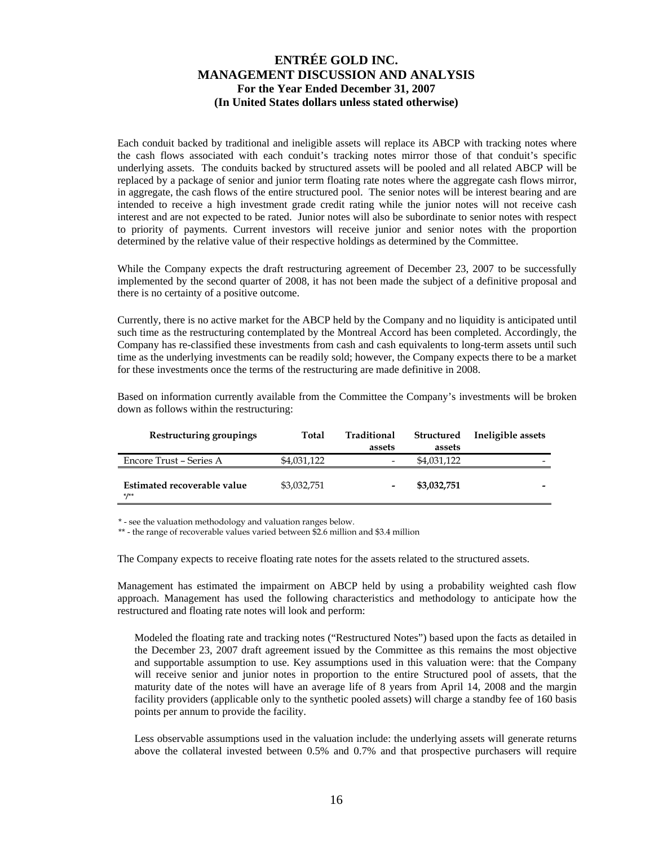Each conduit backed by traditional and ineligible assets will replace its ABCP with tracking notes where the cash flows associated with each conduit's tracking notes mirror those of that conduit's specific underlying assets. The conduits backed by structured assets will be pooled and all related ABCP will be replaced by a package of senior and junior term floating rate notes where the aggregate cash flows mirror, in aggregate, the cash flows of the entire structured pool. The senior notes will be interest bearing and are intended to receive a high investment grade credit rating while the junior notes will not receive cash interest and are not expected to be rated. Junior notes will also be subordinate to senior notes with respect to priority of payments. Current investors will receive junior and senior notes with the proportion determined by the relative value of their respective holdings as determined by the Committee.

While the Company expects the draft restructuring agreement of December 23, 2007 to be successfully implemented by the second quarter of 2008, it has not been made the subject of a definitive proposal and there is no certainty of a positive outcome.

Currently, there is no active market for the ABCP held by the Company and no liquidity is anticipated until such time as the restructuring contemplated by the Montreal Accord has been completed. Accordingly, the Company has re-classified these investments from cash and cash equivalents to long-term assets until such time as the underlying investments can be readily sold; however, the Company expects there to be a market for these investments once the terms of the restructuring are made definitive in 2008.

Based on information currently available from the Committee the Company's investments will be broken down as follows within the restructuring:

| Restructuring groupings                | Total       | Traditional<br>assets    | Structured<br>assets | Ineligible assets |
|----------------------------------------|-------------|--------------------------|----------------------|-------------------|
| Encore Trust - Series A                | \$4,031,122 | $\overline{\phantom{0}}$ | \$4,031,122          | -                 |
| Estimated recoverable value<br>$*$ /** | \$3,032,751 | $\overline{\phantom{0}}$ | \$3,032,751          |                   |

\* - see the valuation methodology and valuation ranges below.

\*\* - the range of recoverable values varied between \$2.6 million and \$3.4 million

The Company expects to receive floating rate notes for the assets related to the structured assets.

Management has estimated the impairment on ABCP held by using a probability weighted cash flow approach. Management has used the following characteristics and methodology to anticipate how the restructured and floating rate notes will look and perform:

Modeled the floating rate and tracking notes ("Restructured Notes") based upon the facts as detailed in the December 23, 2007 draft agreement issued by the Committee as this remains the most objective and supportable assumption to use. Key assumptions used in this valuation were: that the Company will receive senior and junior notes in proportion to the entire Structured pool of assets, that the maturity date of the notes will have an average life of 8 years from April 14, 2008 and the margin facility providers (applicable only to the synthetic pooled assets) will charge a standby fee of 160 basis points per annum to provide the facility.

Less observable assumptions used in the valuation include: the underlying assets will generate returns above the collateral invested between 0.5% and 0.7% and that prospective purchasers will require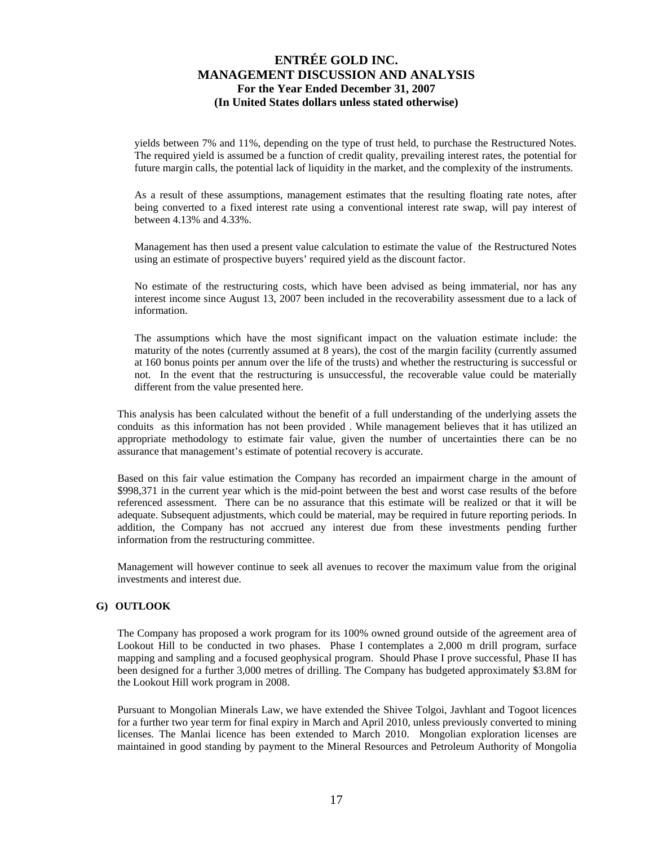yields between 7% and 11%, depending on the type of trust held, to purchase the Restructured Notes. The required yield is assumed be a function of credit quality, prevailing interest rates, the potential for future margin calls, the potential lack of liquidity in the market, and the complexity of the instruments.

As a result of these assumptions, management estimates that the resulting floating rate notes, after being converted to a fixed interest rate using a conventional interest rate swap, will pay interest of between 4.13% and 4.33%.

Management has then used a present value calculation to estimate the value of the Restructured Notes using an estimate of prospective buyers' required yield as the discount factor.

No estimate of the restructuring costs, which have been advised as being immaterial, nor has any interest income since August 13, 2007 been included in the recoverability assessment due to a lack of information.

The assumptions which have the most significant impact on the valuation estimate include: the maturity of the notes (currently assumed at 8 years), the cost of the margin facility (currently assumed at 160 bonus points per annum over the life of the trusts) and whether the restructuring is successful or not. In the event that the restructuring is unsuccessful, the recoverable value could be materially different from the value presented here.

This analysis has been calculated without the benefit of a full understanding of the underlying assets the conduits as this information has not been provided . While management believes that it has utilized an appropriate methodology to estimate fair value, given the number of uncertainties there can be no assurance that management's estimate of potential recovery is accurate.

Based on this fair value estimation the Company has recorded an impairment charge in the amount of \$998,371 in the current year which is the mid-point between the best and worst case results of the before referenced assessment. There can be no assurance that this estimate will be realized or that it will be adequate. Subsequent adjustments, which could be material, may be required in future reporting periods. In addition, the Company has not accrued any interest due from these investments pending further information from the restructuring committee.

Management will however continue to seek all avenues to recover the maximum value from the original investments and interest due.

### **G) OUTLOOK**

The Company has proposed a work program for its 100% owned ground outside of the agreement area of Lookout Hill to be conducted in two phases. Phase I contemplates a 2,000 m drill program, surface mapping and sampling and a focused geophysical program. Should Phase I prove successful, Phase II has been designed for a further 3,000 metres of drilling. The Company has budgeted approximately \$3.8M for the Lookout Hill work program in 2008.

Pursuant to Mongolian Minerals Law, we have extended the Shivee Tolgoi, Javhlant and Togoot licences for a further two year term for final expiry in March and April 2010, unless previously converted to mining licenses. The Manlai licence has been extended to March 2010. Mongolian exploration licenses are maintained in good standing by payment to the Mineral Resources and Petroleum Authority of Mongolia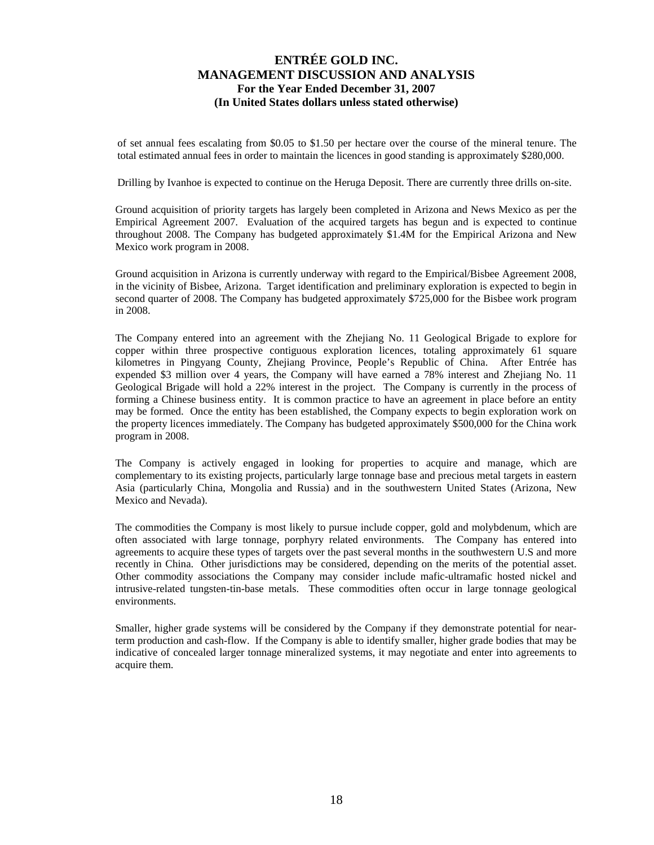of set annual fees escalating from \$0.05 to \$1.50 per hectare over the course of the mineral tenure. The total estimated annual fees in order to maintain the licences in good standing is approximately \$280,000.

Drilling by Ivanhoe is expected to continue on the Heruga Deposit. There are currently three drills on-site.

Ground acquisition of priority targets has largely been completed in Arizona and News Mexico as per the Empirical Agreement 2007. Evaluation of the acquired targets has begun and is expected to continue throughout 2008. The Company has budgeted approximately \$1.4M for the Empirical Arizona and New Mexico work program in 2008.

Ground acquisition in Arizona is currently underway with regard to the Empirical/Bisbee Agreement 2008, in the vicinity of Bisbee, Arizona. Target identification and preliminary exploration is expected to begin in second quarter of 2008. The Company has budgeted approximately \$725,000 for the Bisbee work program in 2008.

The Company entered into an agreement with the Zhejiang No. 11 Geological Brigade to explore for copper within three prospective contiguous exploration licences, totaling approximately 61 square kilometres in Pingyang County, Zhejiang Province, People's Republic of China. After Entrée has expended \$3 million over 4 years, the Company will have earned a 78% interest and Zhejiang No. 11 Geological Brigade will hold a 22% interest in the project. The Company is currently in the process of forming a Chinese business entity. It is common practice to have an agreement in place before an entity may be formed. Once the entity has been established, the Company expects to begin exploration work on the property licences immediately. The Company has budgeted approximately \$500,000 for the China work program in 2008.

The Company is actively engaged in looking for properties to acquire and manage, which are complementary to its existing projects, particularly large tonnage base and precious metal targets in eastern Asia (particularly China, Mongolia and Russia) and in the southwestern United States (Arizona, New Mexico and Nevada).

The commodities the Company is most likely to pursue include copper, gold and molybdenum, which are often associated with large tonnage, porphyry related environments. The Company has entered into agreements to acquire these types of targets over the past several months in the southwestern U.S and more recently in China. Other jurisdictions may be considered, depending on the merits of the potential asset. Other commodity associations the Company may consider include mafic-ultramafic hosted nickel and intrusive-related tungsten-tin-base metals. These commodities often occur in large tonnage geological environments.

Smaller, higher grade systems will be considered by the Company if they demonstrate potential for nearterm production and cash-flow. If the Company is able to identify smaller, higher grade bodies that may be indicative of concealed larger tonnage mineralized systems, it may negotiate and enter into agreements to acquire them.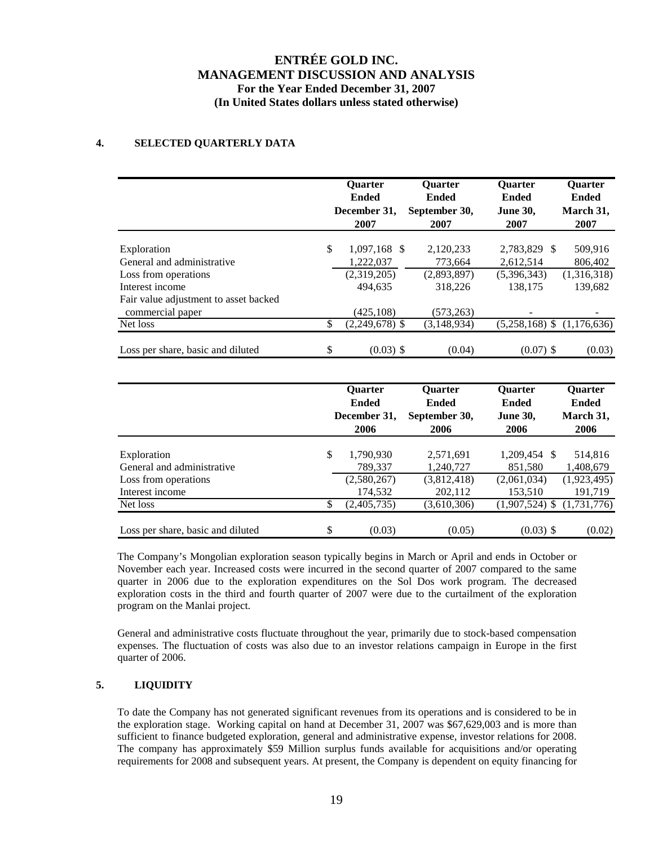## **4. SELECTED QUARTERLY DATA**

|                                                                                      |          | <b>Ouarter</b><br><b>Ended</b><br>December 31,<br>2007 | <b>Ouarter</b><br><b>Ended</b><br>September 30,<br>2007 | Quarter<br><b>Ended</b><br><b>June 30,</b><br>2007     | Quarter<br><b>Ended</b><br>March 31,<br>2007 |
|--------------------------------------------------------------------------------------|----------|--------------------------------------------------------|---------------------------------------------------------|--------------------------------------------------------|----------------------------------------------|
| Exploration<br>General and administrative<br>Loss from operations<br>Interest income | \$       | 1,097,168 \$<br>1,222,037<br>(2,319,205)<br>494,635    | 2,120,233<br>773,664<br>(2,893,897)<br>318,226          | 2,783,829<br>-S<br>2,612,514<br>(5,396,343)<br>138,175 | 509,916<br>806,402<br>(1,316,318)<br>139,682 |
| Fair value adjustment to asset backed<br>commercial paper                            |          | (425, 108)                                             | (573, 263)                                              |                                                        |                                              |
| Net loss<br>Loss per share, basic and diluted                                        | \$<br>\$ | $(2,249,678)$ \$<br>$(0.03)$ \$                        | (3, 148, 934)<br>(0.04)                                 | $(5,258,168)$ \$<br>$(0.07)$ \$                        | (1,176,636)<br>(0.03)                        |

|                                   | <b>Ouarter</b><br><b>Ended</b><br>December 31,<br>2006 | <b>Ouarter</b><br><b>Ended</b><br>September 30,<br>2006 | <b>Ouarter</b><br><b>Ended</b><br><b>June 30,</b><br>2006 | <b>Ouarter</b><br><b>Ended</b><br>March 31,<br>2006 |
|-----------------------------------|--------------------------------------------------------|---------------------------------------------------------|-----------------------------------------------------------|-----------------------------------------------------|
|                                   |                                                        |                                                         |                                                           |                                                     |
| Exploration                       | \$<br>1,790,930                                        | 2,571,691                                               | 1,209,454 \$                                              | 514,816                                             |
| General and administrative        | 789,337                                                | 1,240,727                                               | 851,580                                                   | 1,408,679                                           |
| Loss from operations              | (2,580,267)                                            | (3,812,418)                                             | (2,061,034)                                               | (1,923,495)                                         |
| Interest income                   | 174,532                                                | 202,112                                                 | 153,510                                                   | 191,719                                             |
| Net loss                          | \$<br>(2,405,735)                                      | (3,610,306)                                             | $(1,907,524)$ \$                                          | (1,731,776)                                         |
|                                   |                                                        |                                                         |                                                           |                                                     |
| Loss per share, basic and diluted | \$<br>(0.03)                                           | (0.05)                                                  | $(0.03)$ \$                                               | (0.02)                                              |

The Company's Mongolian exploration season typically begins in March or April and ends in October or November each year. Increased costs were incurred in the second quarter of 2007 compared to the same quarter in 2006 due to the exploration expenditures on the Sol Dos work program. The decreased exploration costs in the third and fourth quarter of 2007 were due to the curtailment of the exploration program on the Manlai project.

General and administrative costs fluctuate throughout the year, primarily due to stock-based compensation expenses. The fluctuation of costs was also due to an investor relations campaign in Europe in the first quarter of 2006.

## **5. LIQUIDITY**

To date the Company has not generated significant revenues from its operations and is considered to be in the exploration stage. Working capital on hand at December 31, 2007 was \$67,629,003 and is more than sufficient to finance budgeted exploration, general and administrative expense, investor relations for 2008. The company has approximately \$59 Million surplus funds available for acquisitions and/or operating requirements for 2008 and subsequent years. At present, the Company is dependent on equity financing for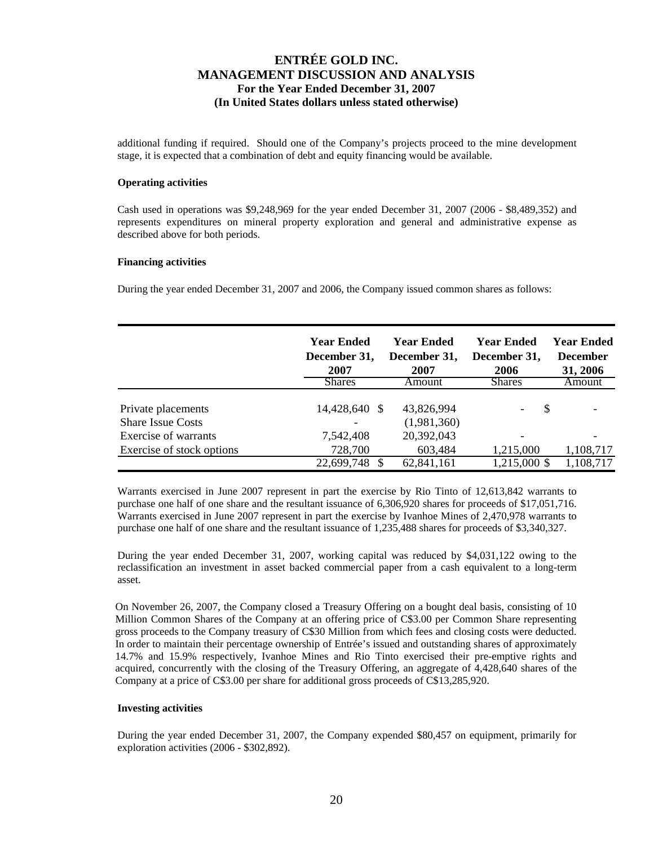additional funding if required. Should one of the Company's projects proceed to the mine development stage, it is expected that a combination of debt and equity financing would be available.

### **Operating activities**

Cash used in operations was \$9,248,969 for the year ended December 31, 2007 (2006 - \$8,489,352) and represents expenditures on mineral property exploration and general and administrative expense as described above for both periods.

#### **Financing activities**

During the year ended December 31, 2007 and 2006, the Company issued common shares as follows:

|                                                | Year Ended<br>December 31,<br>2007 | <b>Year Ended</b><br>December 31,<br>2007 | <b>Year Ended</b><br>December 31,<br>2006 | Year Ended<br><b>December</b><br>31, 2006 |
|------------------------------------------------|------------------------------------|-------------------------------------------|-------------------------------------------|-------------------------------------------|
|                                                | <b>Shares</b>                      | Amount                                    | <b>Shares</b>                             | Amount                                    |
| Private placements<br><b>Share Issue Costs</b> | 14,428,640 \$                      | 43,826,994<br>(1,981,360)                 | S                                         |                                           |
| Exercise of warrants                           | 7,542,408                          | 20,392,043                                |                                           |                                           |
| Exercise of stock options                      | 728,700                            | 603,484                                   | 1,215,000                                 | 1,108,717                                 |
|                                                | 22,699,748                         | 62,841,161                                | 1,215,000 \$                              | 1,108,717                                 |

Warrants exercised in June 2007 represent in part the exercise by Rio Tinto of 12,613,842 warrants to purchase one half of one share and the resultant issuance of 6,306,920 shares for proceeds of \$17,051,716. Warrants exercised in June 2007 represent in part the exercise by Ivanhoe Mines of 2,470,978 warrants to purchase one half of one share and the resultant issuance of 1,235,488 shares for proceeds of \$3,340,327.

During the year ended December 31, 2007, working capital was reduced by \$4,031,122 owing to the reclassification an investment in asset backed commercial paper from a cash equivalent to a long-term asset.

On November 26, 2007, the Company closed a Treasury Offering on a bought deal basis, consisting of 10 Million Common Shares of the Company at an offering price of C\$3.00 per Common Share representing gross proceeds to the Company treasury of C\$30 Million from which fees and closing costs were deducted. In order to maintain their percentage ownership of Entrée's issued and outstanding shares of approximately 14.7% and 15.9% respectively, Ivanhoe Mines and Rio Tinto exercised their pre-emptive rights and acquired, concurrently with the closing of the Treasury Offering, an aggregate of 4,428,640 shares of the Company at a price of C\$3.00 per share for additional gross proceeds of C\$13,285,920.

#### **Investing activities**

During the year ended December 31, 2007, the Company expended \$80,457 on equipment, primarily for exploration activities (2006 - \$302,892).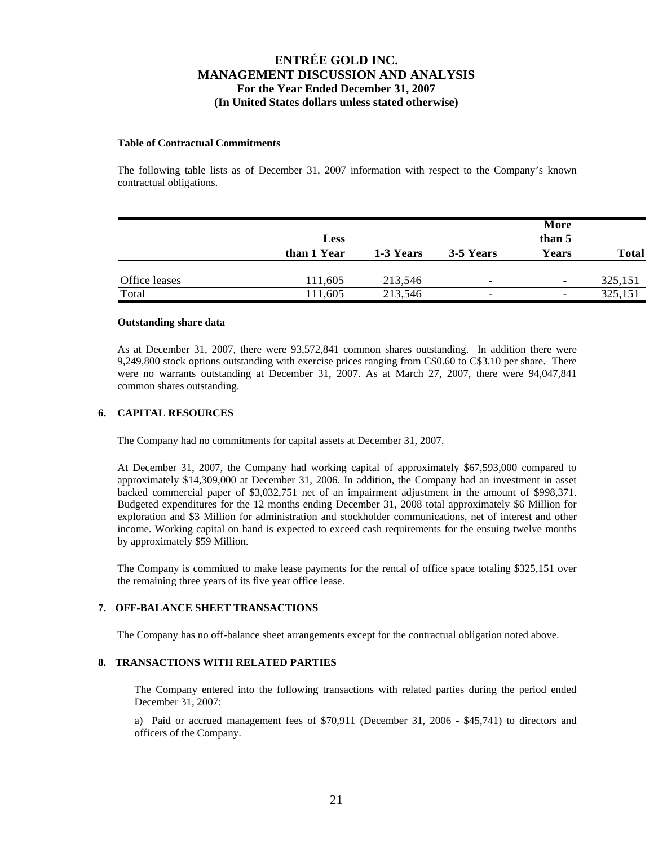### **Table of Contractual Commitments**

The following table lists as of December 31, 2007 information with respect to the Company's known contractual obligations.

|               | <b>Less</b> |           |                          | More<br>than 5           |              |  |
|---------------|-------------|-----------|--------------------------|--------------------------|--------------|--|
|               | than 1 Year | 1-3 Years | 3-5 Years                | Years                    | <b>Total</b> |  |
| Office leases | 111,605     | 213,546   | $\overline{\phantom{0}}$ | $\overline{\phantom{a}}$ | 325,151      |  |
| Total         | 111,605     | 213,546   | $\overline{\phantom{0}}$ | $\overline{\phantom{a}}$ | 325,151      |  |

### **Outstanding share data**

As at December 31, 2007, there were 93,572,841 common shares outstanding. In addition there were 9,249,800 stock options outstanding with exercise prices ranging from C\$0.60 to C\$3.10 per share. There were no warrants outstanding at December 31, 2007. As at March 27, 2007, there were 94,047,841 common shares outstanding.

## **6. CAPITAL RESOURCES**

The Company had no commitments for capital assets at December 31, 2007.

At December 31, 2007, the Company had working capital of approximately \$67,593,000 compared to approximately \$14,309,000 at December 31, 2006. In addition, the Company had an investment in asset backed commercial paper of \$3,032,751 net of an impairment adjustment in the amount of \$998,371. Budgeted expenditures for the 12 months ending December 31, 2008 total approximately \$6 Million for exploration and \$3 Million for administration and stockholder communications, net of interest and other income. Working capital on hand is expected to exceed cash requirements for the ensuing twelve months by approximately \$59 Million.

The Company is committed to make lease payments for the rental of office space totaling \$325,151 over the remaining three years of its five year office lease.

### **7. OFF-BALANCE SHEET TRANSACTIONS**

The Company has no off-balance sheet arrangements except for the contractual obligation noted above.

### **8. TRANSACTIONS WITH RELATED PARTIES**

The Company entered into the following transactions with related parties during the period ended December 31, 2007:

a) Paid or accrued management fees of \$70,911 (December 31, 2006 - \$45,741) to directors and officers of the Company.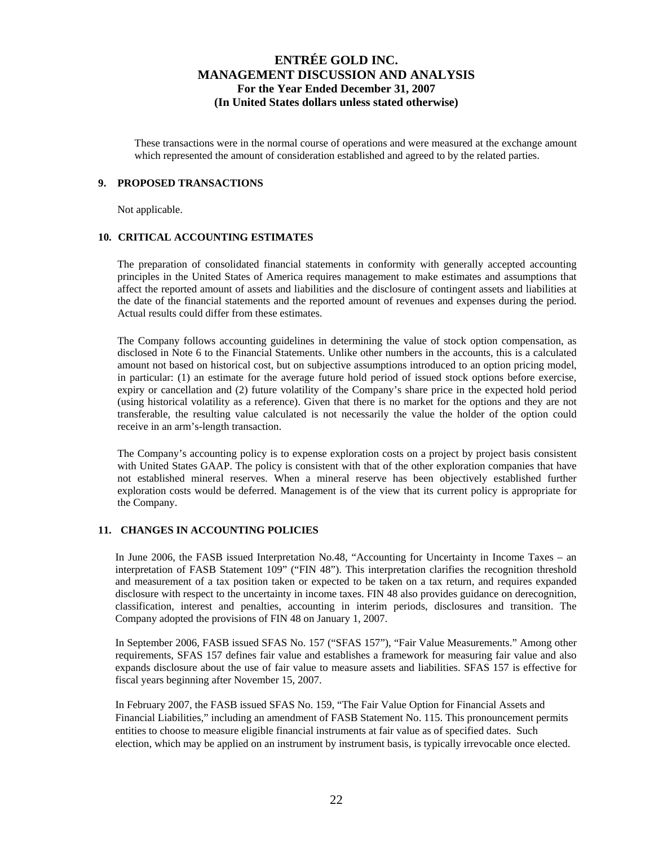These transactions were in the normal course of operations and were measured at the exchange amount which represented the amount of consideration established and agreed to by the related parties.

### **9. PROPOSED TRANSACTIONS**

Not applicable.

### **10. CRITICAL ACCOUNTING ESTIMATES**

The preparation of consolidated financial statements in conformity with generally accepted accounting principles in the United States of America requires management to make estimates and assumptions that affect the reported amount of assets and liabilities and the disclosure of contingent assets and liabilities at the date of the financial statements and the reported amount of revenues and expenses during the period. Actual results could differ from these estimates.

The Company follows accounting guidelines in determining the value of stock option compensation, as disclosed in Note 6 to the Financial Statements. Unlike other numbers in the accounts, this is a calculated amount not based on historical cost, but on subjective assumptions introduced to an option pricing model, in particular: (1) an estimate for the average future hold period of issued stock options before exercise, expiry or cancellation and (2) future volatility of the Company's share price in the expected hold period (using historical volatility as a reference). Given that there is no market for the options and they are not transferable, the resulting value calculated is not necessarily the value the holder of the option could receive in an arm's-length transaction.

The Company's accounting policy is to expense exploration costs on a project by project basis consistent with United States GAAP. The policy is consistent with that of the other exploration companies that have not established mineral reserves. When a mineral reserve has been objectively established further exploration costs would be deferred. Management is of the view that its current policy is appropriate for the Company.

### **11. CHANGES IN ACCOUNTING POLICIES**

In June 2006, the FASB issued Interpretation No.48, "Accounting for Uncertainty in Income Taxes – an interpretation of FASB Statement 109" ("FIN 48"). This interpretation clarifies the recognition threshold and measurement of a tax position taken or expected to be taken on a tax return, and requires expanded disclosure with respect to the uncertainty in income taxes. FIN 48 also provides guidance on derecognition, classification, interest and penalties, accounting in interim periods, disclosures and transition. The Company adopted the provisions of FIN 48 on January 1, 2007.

In September 2006, FASB issued SFAS No. 157 ("SFAS 157"), "Fair Value Measurements." Among other requirements, SFAS 157 defines fair value and establishes a framework for measuring fair value and also expands disclosure about the use of fair value to measure assets and liabilities. SFAS 157 is effective for fiscal years beginning after November 15, 2007.

In February 2007, the FASB issued SFAS No. 159, "The Fair Value Option for Financial Assets and Financial Liabilities," including an amendment of FASB Statement No. 115. This pronouncement permits entities to choose to measure eligible financial instruments at fair value as of specified dates. Such election, which may be applied on an instrument by instrument basis, is typically irrevocable once elected.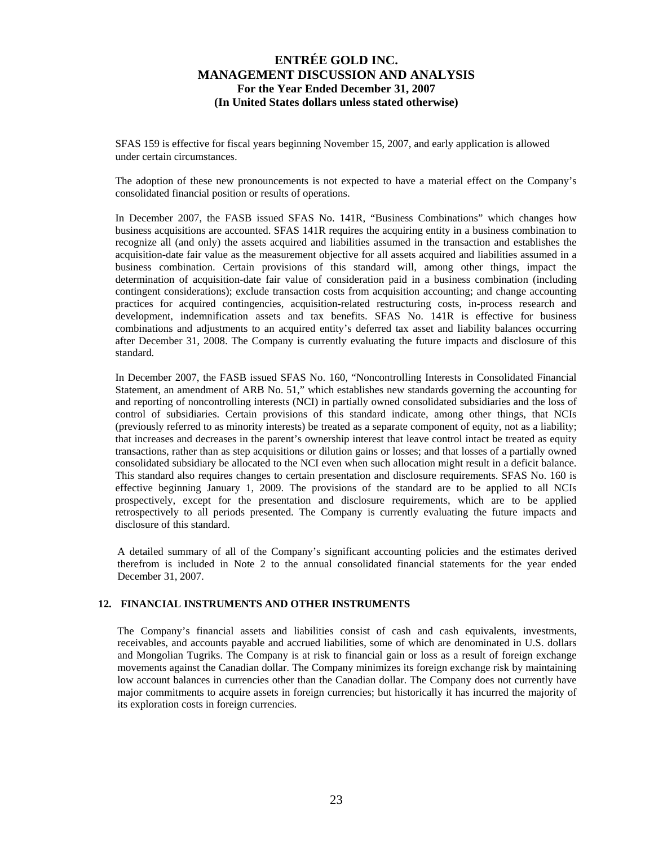SFAS 159 is effective for fiscal years beginning November 15, 2007, and early application is allowed under certain circumstances.

The adoption of these new pronouncements is not expected to have a material effect on the Company's consolidated financial position or results of operations.

In December 2007, the FASB issued SFAS No. 141R, "Business Combinations" which changes how business acquisitions are accounted. SFAS 141R requires the acquiring entity in a business combination to recognize all (and only) the assets acquired and liabilities assumed in the transaction and establishes the acquisition-date fair value as the measurement objective for all assets acquired and liabilities assumed in a business combination. Certain provisions of this standard will, among other things, impact the determination of acquisition-date fair value of consideration paid in a business combination (including contingent considerations); exclude transaction costs from acquisition accounting; and change accounting practices for acquired contingencies, acquisition-related restructuring costs, in-process research and development, indemnification assets and tax benefits. SFAS No. 141R is effective for business combinations and adjustments to an acquired entity's deferred tax asset and liability balances occurring after December 31, 2008. The Company is currently evaluating the future impacts and disclosure of this standard.

In December 2007, the FASB issued SFAS No. 160, "Noncontrolling Interests in Consolidated Financial Statement, an amendment of ARB No. 51," which establishes new standards governing the accounting for and reporting of noncontrolling interests (NCI) in partially owned consolidated subsidiaries and the loss of control of subsidiaries. Certain provisions of this standard indicate, among other things, that NCIs (previously referred to as minority interests) be treated as a separate component of equity, not as a liability; that increases and decreases in the parent's ownership interest that leave control intact be treated as equity transactions, rather than as step acquisitions or dilution gains or losses; and that losses of a partially owned consolidated subsidiary be allocated to the NCI even when such allocation might result in a deficit balance. This standard also requires changes to certain presentation and disclosure requirements. SFAS No. 160 is effective beginning January 1, 2009. The provisions of the standard are to be applied to all NCIs prospectively, except for the presentation and disclosure requirements, which are to be applied retrospectively to all periods presented. The Company is currently evaluating the future impacts and disclosure of this standard.

A detailed summary of all of the Company's significant accounting policies and the estimates derived therefrom is included in Note 2 to the annual consolidated financial statements for the year ended December 31, 2007.

### **12. FINANCIAL INSTRUMENTS AND OTHER INSTRUMENTS**

The Company's financial assets and liabilities consist of cash and cash equivalents, investments, receivables, and accounts payable and accrued liabilities, some of which are denominated in U.S. dollars and Mongolian Tugriks. The Company is at risk to financial gain or loss as a result of foreign exchange movements against the Canadian dollar. The Company minimizes its foreign exchange risk by maintaining low account balances in currencies other than the Canadian dollar. The Company does not currently have major commitments to acquire assets in foreign currencies; but historically it has incurred the majority of its exploration costs in foreign currencies.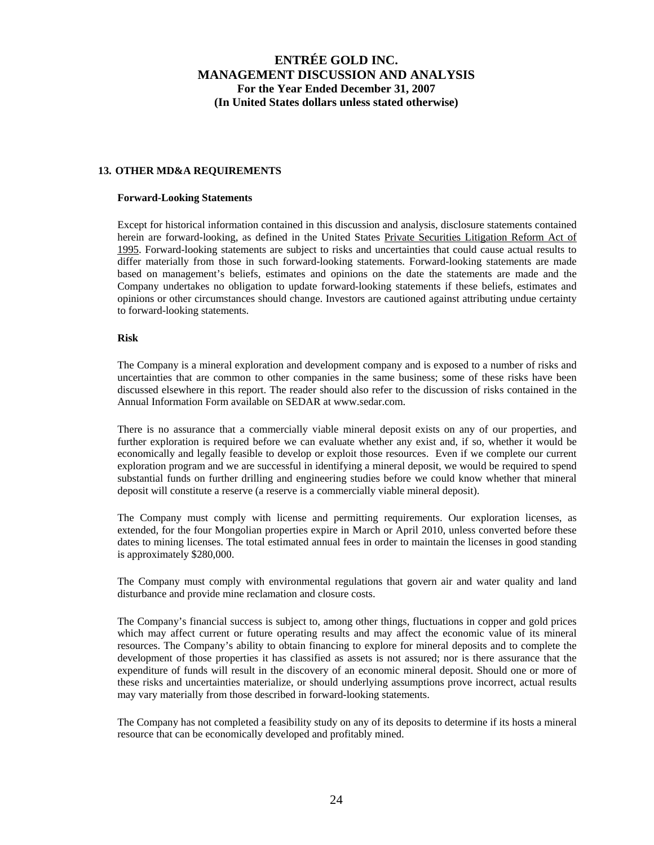## **13. OTHER MD&A REQUIREMENTS**

#### **Forward-Looking Statements**

Except for historical information contained in this discussion and analysis, disclosure statements contained herein are forward-looking, as defined in the United States Private Securities Litigation Reform Act of 1995. Forward-looking statements are subject to risks and uncertainties that could cause actual results to differ materially from those in such forward-looking statements. Forward-looking statements are made based on management's beliefs, estimates and opinions on the date the statements are made and the Company undertakes no obligation to update forward-looking statements if these beliefs, estimates and opinions or other circumstances should change. Investors are cautioned against attributing undue certainty to forward-looking statements.

### **Risk**

The Company is a mineral exploration and development company and is exposed to a number of risks and uncertainties that are common to other companies in the same business; some of these risks have been discussed elsewhere in this report. The reader should also refer to the discussion of risks contained in the Annual Information Form available on SEDAR at www.sedar.com.

There is no assurance that a commercially viable mineral deposit exists on any of our properties, and further exploration is required before we can evaluate whether any exist and, if so, whether it would be economically and legally feasible to develop or exploit those resources. Even if we complete our current exploration program and we are successful in identifying a mineral deposit, we would be required to spend substantial funds on further drilling and engineering studies before we could know whether that mineral deposit will constitute a reserve (a reserve is a commercially viable mineral deposit).

The Company must comply with license and permitting requirements. Our exploration licenses, as extended, for the four Mongolian properties expire in March or April 2010, unless converted before these dates to mining licenses. The total estimated annual fees in order to maintain the licenses in good standing is approximately \$280,000.

The Company must comply with environmental regulations that govern air and water quality and land disturbance and provide mine reclamation and closure costs.

The Company's financial success is subject to, among other things, fluctuations in copper and gold prices which may affect current or future operating results and may affect the economic value of its mineral resources. The Company's ability to obtain financing to explore for mineral deposits and to complete the development of those properties it has classified as assets is not assured; nor is there assurance that the expenditure of funds will result in the discovery of an economic mineral deposit. Should one or more of these risks and uncertainties materialize, or should underlying assumptions prove incorrect, actual results may vary materially from those described in forward-looking statements.

The Company has not completed a feasibility study on any of its deposits to determine if its hosts a mineral resource that can be economically developed and profitably mined.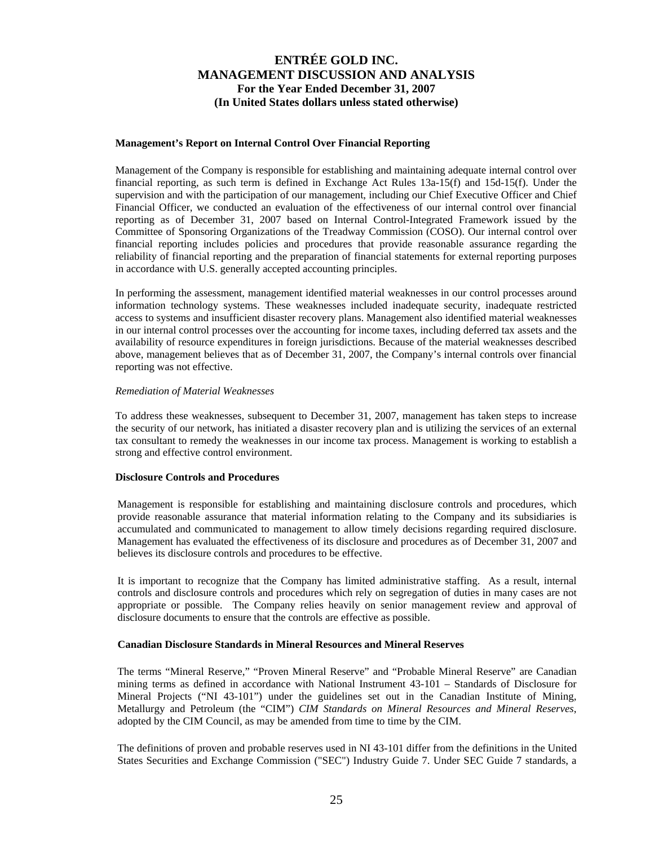#### **Management's Report on Internal Control Over Financial Reporting**

Management of the Company is responsible for establishing and maintaining adequate internal control over financial reporting, as such term is defined in Exchange Act Rules 13a-15(f) and 15d-15(f). Under the supervision and with the participation of our management, including our Chief Executive Officer and Chief Financial Officer, we conducted an evaluation of the effectiveness of our internal control over financial reporting as of December 31, 2007 based on Internal Control-Integrated Framework issued by the Committee of Sponsoring Organizations of the Treadway Commission (COSO). Our internal control over financial reporting includes policies and procedures that provide reasonable assurance regarding the reliability of financial reporting and the preparation of financial statements for external reporting purposes in accordance with U.S. generally accepted accounting principles.

In performing the assessment, management identified material weaknesses in our control processes around information technology systems. These weaknesses included inadequate security, inadequate restricted access to systems and insufficient disaster recovery plans. Management also identified material weaknesses in our internal control processes over the accounting for income taxes, including deferred tax assets and the availability of resource expenditures in foreign jurisdictions. Because of the material weaknesses described above, management believes that as of December 31, 2007, the Company's internal controls over financial reporting was not effective.

#### *Remediation of Material Weaknesses*

To address these weaknesses, subsequent to December 31, 2007, management has taken steps to increase the security of our network, has initiated a disaster recovery plan and is utilizing the services of an external tax consultant to remedy the weaknesses in our income tax process. Management is working to establish a strong and effective control environment.

### **Disclosure Controls and Procedures**

Management is responsible for establishing and maintaining disclosure controls and procedures, which provide reasonable assurance that material information relating to the Company and its subsidiaries is accumulated and communicated to management to allow timely decisions regarding required disclosure. Management has evaluated the effectiveness of its disclosure and procedures as of December 31, 2007 and believes its disclosure controls and procedures to be effective.

It is important to recognize that the Company has limited administrative staffing. As a result, internal controls and disclosure controls and procedures which rely on segregation of duties in many cases are not appropriate or possible. The Company relies heavily on senior management review and approval of disclosure documents to ensure that the controls are effective as possible.

### **Canadian Disclosure Standards in Mineral Resources and Mineral Reserves**

The terms "Mineral Reserve," "Proven Mineral Reserve" and "Probable Mineral Reserve" are Canadian mining terms as defined in accordance with National Instrument 43-101 – Standards of Disclosure for Mineral Projects ("NI 43-101") under the guidelines set out in the Canadian Institute of Mining, Metallurgy and Petroleum (the "CIM") *CIM Standards on Mineral Resources and Mineral Reserves*, adopted by the CIM Council, as may be amended from time to time by the CIM.

The definitions of proven and probable reserves used in NI 43-101 differ from the definitions in the United States Securities and Exchange Commission ("SEC") Industry Guide 7. Under SEC Guide 7 standards, a